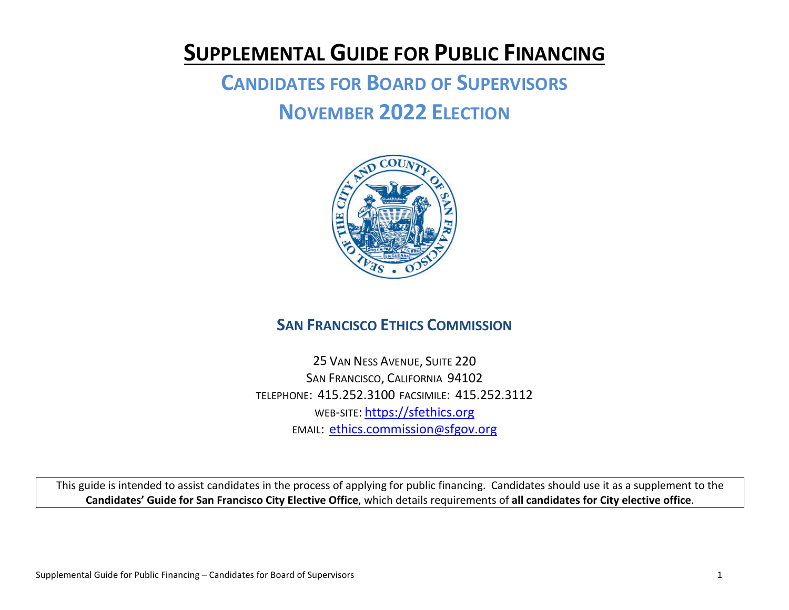## **SUPPLEMENTAL GUIDE FOR PUBLIC FINANCING**

# **CANDIDATES FOR BOARD OF SUPERVISORS NOVEMBER 2022 ELECTION**



## **SAN FRANCISCO ETHICS COMMISSION**

25 VAN NESS AVENUE, SUITE 220 SAN FRANCISCO, CALIFORNIA 94102 TELEPHONE: 415.252.3100 FACSIMILE: 415.252.3112 WEB-SITE: [https://sfethics.org](https://sfethics.org/) EMAIL: [ethics.commission@sfgov.org](mailto:ethics.commission@sfgov.org)

This guide is intended to assist candidates in the process of applying for public financing. Candidates should use it as a supplement to the **Candidates' Guide for San Francisco City Elective Office**, which details requirements of **all candidates for City elective office**.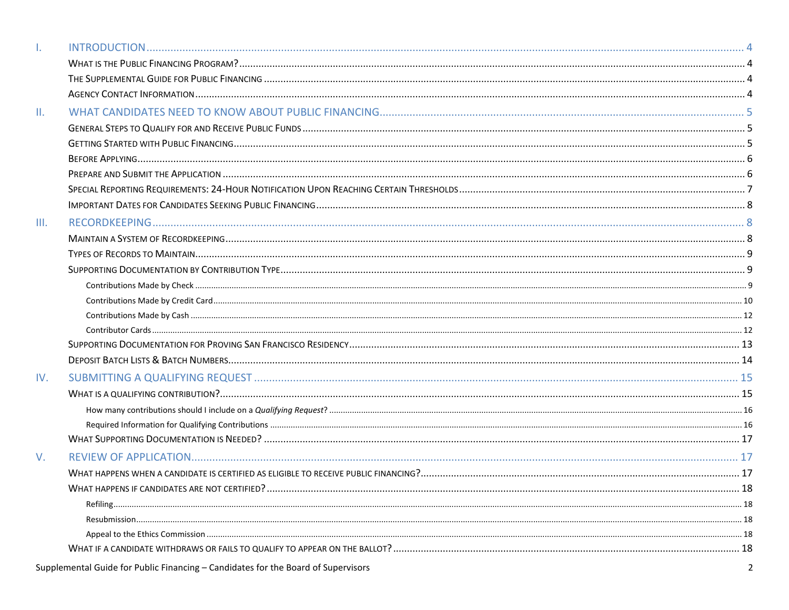| ı.  |    |
|-----|----|
|     |    |
|     |    |
|     |    |
| Ш.  |    |
|     |    |
|     |    |
|     |    |
|     |    |
|     |    |
|     |    |
| Ш.  |    |
|     |    |
|     |    |
|     |    |
|     |    |
|     |    |
|     |    |
|     |    |
|     |    |
|     |    |
| IV. |    |
|     |    |
|     |    |
|     |    |
|     |    |
| V.  |    |
|     |    |
|     | 18 |
|     |    |
|     |    |
|     |    |
|     |    |
|     |    |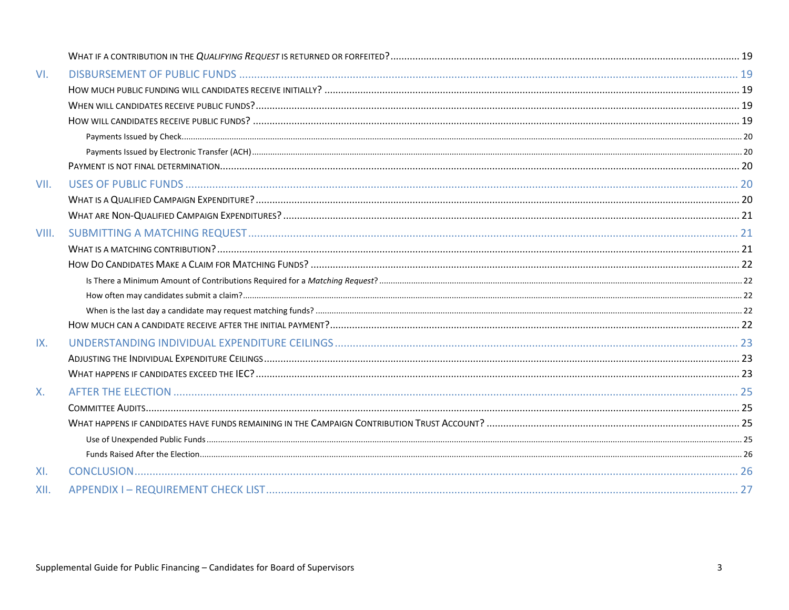| VI.   |  |  |  |
|-------|--|--|--|
|       |  |  |  |
|       |  |  |  |
|       |  |  |  |
|       |  |  |  |
|       |  |  |  |
|       |  |  |  |
| VII.  |  |  |  |
|       |  |  |  |
|       |  |  |  |
| VIII. |  |  |  |
|       |  |  |  |
|       |  |  |  |
|       |  |  |  |
|       |  |  |  |
|       |  |  |  |
|       |  |  |  |
| IX.   |  |  |  |
|       |  |  |  |
|       |  |  |  |
| Х.    |  |  |  |
|       |  |  |  |
|       |  |  |  |
|       |  |  |  |
|       |  |  |  |
| XI.   |  |  |  |
| XII.  |  |  |  |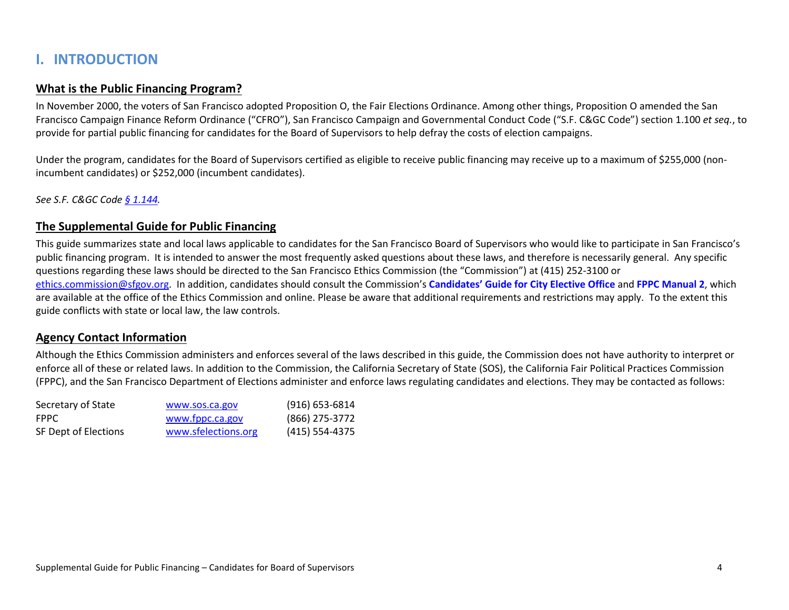## <span id="page-3-0"></span>**I. INTRODUCTION**

#### <span id="page-3-1"></span>**What is the Public Financing Program?**

In November 2000, the voters of San Francisco adopted Proposition O, the Fair Elections Ordinance. Among other things, Proposition O amended the San Francisco Campaign Finance Reform Ordinance ("CFRO"), San Francisco Campaign and Governmental Conduct Code ("S.F. C&GC Code") section 1.100 *et seq.*, to provide for partial public financing for candidates for the Board of Supervisors to help defray the costs of election campaigns.

Under the program, candidates for the Board of Supervisors certified as eligible to receive public financing may receive up to a maximum of \$255,000 (nonincumbent candidates) or \$252,000 (incumbent candidates).

<span id="page-3-2"></span>*See S.F. C&GC Code [§ 1.144.](https://codelibrary.amlegal.com/codes/san_francisco/latest/sf_campaign/0-0-0-367)*

#### **The Supplemental Guide for Public Financing**

This guide summarizes state and local laws applicable to candidates for the San Francisco Board of Supervisors who would like to participate in San Francisco's public financing program. It is intended to answer the most frequently asked questions about these laws, and therefore is necessarily general. Any specific questions regarding these laws should be directed to the San Francisco Ethics Commission (the "Commission") at (415) 252-3100 or [ethics.commission@sfgov.org.](mailto:ethics.commission@sfgov.org) In addition, candidates should consult the Commission's **[Candidates' Guide for City Elective Office](https://sfethics.org/compliance/campaigns/candidates)** and **[FPPC Manual](http://www.fppc.ca.gov/content/dam/fppc/NS-Documents/TAD/Campaign%20Manuals/Manual_2/Final_Manual_2_Entire_Manual.pdf) 2**, which are available at the office of the Ethics Commission and online. Please be aware that additional requirements and restrictions may apply. To the extent this guide conflicts with state or local law, the law controls.

#### <span id="page-3-3"></span>**Agency Contact Information**

Although the Ethics Commission administers and enforces several of the laws described in this guide, the Commission does not have authority to interpret or enforce all of these or related laws. In addition to the Commission, the California Secretary of State (SOS), the California Fair Political Practices Commission (FPPC), and the San Francisco Department of Elections administer and enforce laws regulating candidates and elections. They may be contacted as follows:

| Secretary of State   | www.sos.ca.gov      | $(916)$ 653-6814 |
|----------------------|---------------------|------------------|
| <b>FPPC</b>          | www.fppc.ca.gov     | (866) 275-3772   |
| SF Dept of Elections | www.sfelections.org | (415) 554-4375   |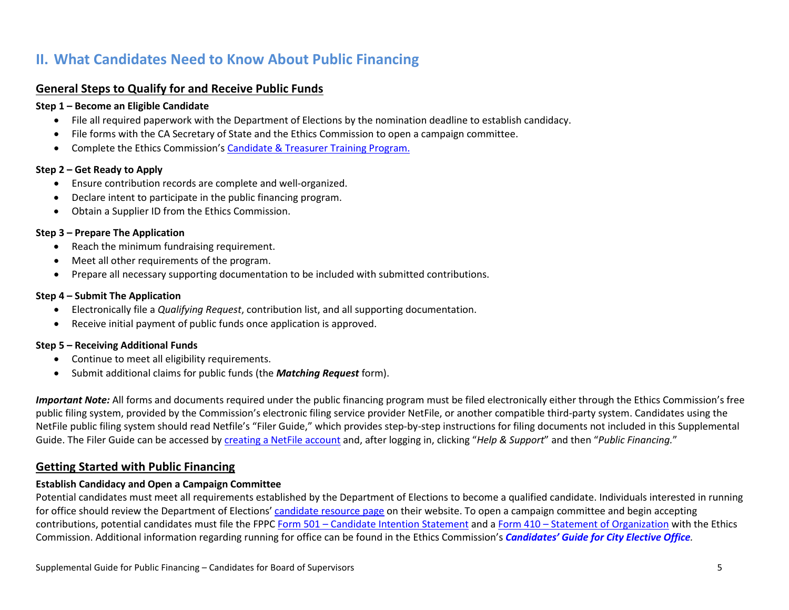## <span id="page-4-0"></span>**II. What Candidates Need to Know About Public Financing**

#### <span id="page-4-1"></span>**General Steps to Qualify for and Receive Public Funds**

#### **Step 1 – Become an Eligible Candidate**

- File all required paperwork with the Department of Elections by the nomination deadline to establish candidacy.
- File forms with the CA Secretary of State and the Ethics Commission to open a campaign committee.
- Complete the Ethics Commission's Candidate [& Treasurer Training Program.](https://sfethics.org/compliance/campaigns/candidates/running-for-office)

#### **Step 2 – Get Ready to Apply**

- Ensure contribution records are complete and well-organized.
- Declare intent to participate in the public financing program.
- Obtain a Supplier ID from the Ethics Commission.

#### **Step 3 – Prepare The Application**

- Reach the minimum fundraising requirement.
- Meet all other requirements of the program.
- Prepare all necessary supporting documentation to be included with submitted contributions.

#### **Step 4 – Submit The Application**

- Electronically file a *Qualifying Request*, contribution list, and all supporting documentation.
- Receive initial payment of public funds once application is approved.

#### **Step 5 – Receiving Additional Funds**

- Continue to meet all eligibility requirements.
- Submit additional claims for public funds (the *Matching Request* form).

*Important Note:* All forms and documents required under the public financing program must be filed electronically either through the Ethics Commission's free public filing system, provided by the Commission's electronic filing service provider NetFile, or another compatible third-party system. Candidates using the NetFile public filing system should read Netfile's "Filer Guide," which provides step-by-step instructions for filing documents not included in this Supplemental Guide. The Filer Guide can be accessed by [creating a NetFile account](https://sfethics.org/ethics/2013/07/how-to-create-a-netfile-user-account.html) and, after logging in, clicking "*Help & Support*" and then "*Public Financing.*"

#### <span id="page-4-2"></span>**Getting Started with Public Financing**

#### **Establish Candidacy and Open a Campaign Committee**

Potential candidates must meet all requirements established by the Department of Elections to become a qualified candidate. Individuals interested in running for office should review the Department of Elections[' candidate resource page](https://sfelections.sfgov.org/candidates) on their website. To open a campaign committee and begin accepting contributions, potential candidates must file the FPPC Form 501 – [Candidate Intention Statement](https://www.fppc.ca.gov/content/dam/fppc/NS-Documents/TAD/Campaign%20Forms/501.pdf) and a Form 410 – [Statement of Organization](https://www.fppc.ca.gov/content/dam/fppc/NS-Documents/TAD/Campaign%20Forms/410.pdf) with the Ethics Commission. Additional information regarding running for office can be found in the Ethics Commission's *[Candidates' Guide for City Elective Office](https://sfethics.org/compliance/campaigns/candidates).*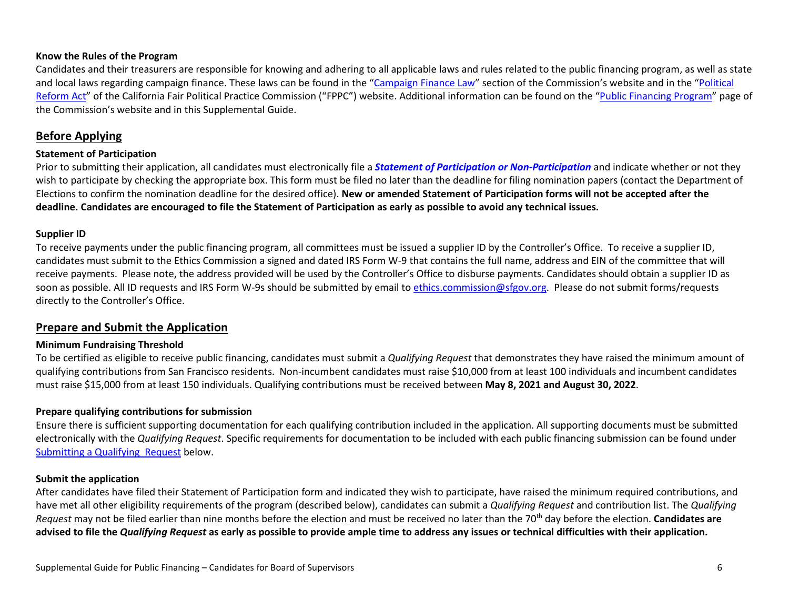#### **Know the Rules of the Program**

Candidates and their treasurers are responsible for knowing and adhering to all applicable laws and rules related to the public financing program, as well as state and local laws regarding campaign finance. These laws can be found in the ["Campaign Finance Law"](https://sfethics.org/laws/campaign-finance) section of the Commission's website and in the "Political [Reform Act"](https://www.fppc.ca.gov/the-law/the-political-reform-act.html) of the California Fair Political Practice Commission ("FPPC") website. Additional information can be found on the ["Public Financing Program"](https://sfethics.org/compliance/campaigns/candidates/public-financing-program) page of the Commission's website and in this Supplemental Guide.

#### <span id="page-5-0"></span>**Before Applying**

#### **Statement of Participation**

Prior to submitting their application, all candidates must electronically file a *[Statement of Participation or Non-Participation](https://sfethics.org/compliance/campaigns/candidates/public-financing-program)* and indicate whether or not they wish to participate by checking the appropriate box. This form must be filed no later than the deadline for filing nomination papers (contact the Department of Elections to confirm the nomination deadline for the desired office). **New or amended Statement of Participation forms will not be accepted after the deadline. Candidates are encouraged to file the Statement of Participation as early as possible to avoid any technical issues.**

#### **Supplier ID**

To receive payments under the public financing program, all committees must be issued a supplier ID by the Controller's Office. To receive a supplier ID, candidates must submit to the Ethics Commission a signed and dated IRS Form W-9 that contains the full name, address and EIN of the committee that will receive payments. Please note, the address provided will be used by the Controller's Office to disburse payments. Candidates should obtain a supplier ID as soon as possible. All ID requests and IRS Form W-9s should be submitted by email to [ethics.commission@sfgov.org.](mailto:ethics.commission@sfgov.org) Please do not submit forms/requests directly to the Controller's Office.

#### <span id="page-5-1"></span>**Prepare and Submit the Application**

#### **Minimum Fundraising Threshold**

To be certified as eligible to receive public financing, candidates must submit a *Qualifying Request* that demonstrates they have raised the minimum amount of qualifying contributions from San Francisco residents. Non-incumbent candidates must raise \$10,000 from at least 100 individuals and incumbent candidates must raise \$15,000 from at least 150 individuals. Qualifying contributions must be received between **May 8, 2021 and August 30, 2022**.

#### **Prepare qualifying contributions for submission**

Ensure there is sufficient supporting documentation for each qualifying contribution included in the application. All supporting documents must be submitted electronically with the *Qualifying Request*. Specific requirements for documentation to be included with each public financing submission can be found under [Submitting a Qualifying](#page-14-0) Request below.

#### **Submit the application**

After candidates have filed their Statement of Participation form and indicated they wish to participate, have raised the minimum required contributions, and have met all other eligibility requirements of the program (described below), candidates can submit a *Qualifying Request* and contribution list. The *Qualifying Request* may not be filed earlier than nine months before the election and must be received no later than the 70th day before the election. **Candidates are advised to file the** *Qualifying Request* **as early as possible to provide ample time to address any issues or technical difficulties with their application.**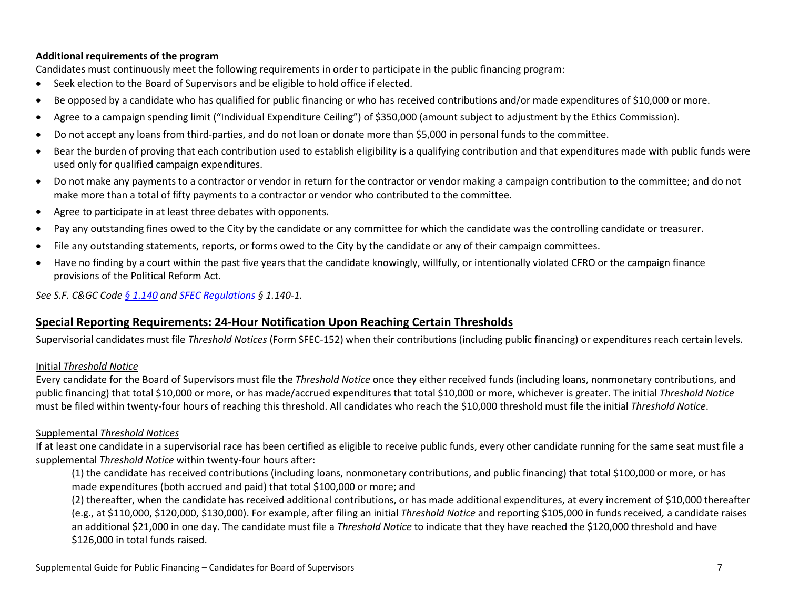#### **Additional requirements of the program**

Candidates must continuously meet the following requirements in order to participate in the public financing program:

- Seek election to the Board of Supervisors and be eligible to hold office if elected.
- Be opposed by a candidate who has qualified for public financing or who has received contributions and/or made expenditures of \$10,000 or more.
- Agree to a campaign spending limit ("Individual Expenditure Ceiling") of \$350,000 (amount subject to adjustment by the Ethics Commission).
- Do not accept any loans from third-parties, and do not loan or donate more than \$5,000 in personal funds to the committee.
- Bear the burden of proving that each contribution used to establish eligibility is a qualifying contribution and that expenditures made with public funds were used only for qualified campaign expenditures.
- Do not make any payments to a contractor or vendor in return for the contractor or vendor making a campaign contribution to the committee; and do not make more than a total of fifty payments to a contractor or vendor who contributed to the committee.
- Agree to participate in at least three debates with opponents.
- Pay any outstanding fines owed to the City by the candidate or any committee for which the candidate was the controlling candidate or treasurer.
- File any outstanding statements, reports, or forms owed to the City by the candidate or any of their campaign committees.
- Have no finding by a court within the past five years that the candidate knowingly, willfully, or intentionally violated CFRO or the campaign finance provisions of the Political Reform Act.

<span id="page-6-0"></span>*See S.F. C&GC Code [§ 1.140](https://codelibrary.amlegal.com/codes/san_francisco/latest/sf_campaign/0-0-0-303) and [SFEC Regulations](https://sfethics.org/ethics/2011/06/-regulations-to-campaign-finance-reform-ordinance-san-francisco-campaign-and-governmental-conduct-co.html) § 1.140-1.*

#### **Special Reporting Requirements: 24-Hour Notification Upon Reaching Certain Thresholds**

Supervisorial candidates must file *Threshold Notices* (Form SFEC-152) when their contributions (including public financing) or expenditures reach certain levels.

#### Initial *Threshold Notice*

Every candidate for the Board of Supervisors must file the *Threshold Notice* once they either received funds (including loans, nonmonetary contributions, and public financing) that total \$10,000 or more, or has made/accrued expenditures that total \$10,000 or more, whichever is greater. The initial *Threshold Notice* must be filed within twenty-four hours of reaching this threshold. All candidates who reach the \$10,000 threshold must file the initial *Threshold Notice*.

#### Supplemental *Threshold Notices*

If at least one candidate in a supervisorial race has been certified as eligible to receive public funds, every other candidate running for the same seat must file a supplemental *Threshold Notice* within twenty-four hours after:

(1) the candidate has received contributions (including loans, nonmonetary contributions, and public financing) that total \$100,000 or more, or has made expenditures (both accrued and paid) that total \$100,000 or more; and

(2) thereafter, when the candidate has received additional contributions, or has made additional expenditures, at every increment of \$10,000 thereafter (e.g., at \$110,000, \$120,000, \$130,000). For example, after filing an initial *Threshold Notice* and reporting \$105,000 in funds received*,* a candidate raises an additional \$21,000 in one day. The candidate must file a *Threshold Notice* to indicate that they have reached the \$120,000 threshold and have \$126,000 in total funds raised.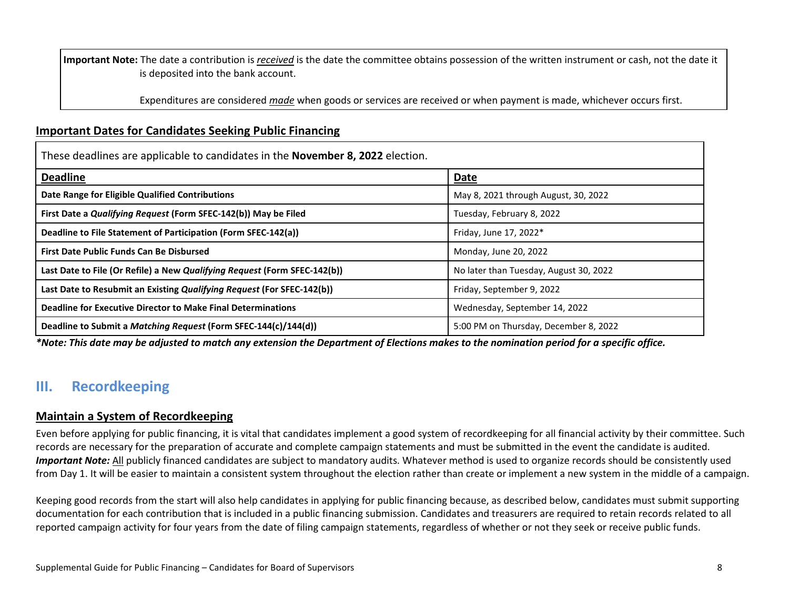**Important Note:** The date a contribution is *received* is the date the committee obtains possession of the written instrument or cash, not the date it is deposited into the bank account.

Expenditures are considered *made* when goods or services are received or when payment is made, whichever occurs first.

#### <span id="page-7-0"></span>**Important Dates for Candidates Seeking Public Financing**

These deadlines are applicable to candidates in the **November 8, 2022** election. **Deadline Date Date Range for Eligible Qualified Contributions** May 8, 2021 through August, 30, 2022 **First Date a** *Qualifying Request* **(Form SFEC-142(b)) May be Filed Truesday, February 8, 2022 Deadline to File Statement of Participation (Form SFEC-142(a)) Finday**, June 17, 2022<sup>\*</sup> **First Date Public Funds Can Be Disbursed Monday, June 20, 2022** Last Date to File (Or Refile) a New *Qualifying Request* (Form SFEC-142(b)) and the state of the Multimer of the Multimer of the Multimer of the Multimer of the Multimer of the Multimer of the Multimer of the Multimer of t **Last Date to Resubmit an Existing** *Qualifying Request* **(For SFEC-142(b)) <b>Friday**, September 9, 2022 **Deadline for Executive Director to Make Final Determinations** Manusculle Muslim Muslim Muslim Muslim Muslim Muslim Muslim Muslim Muslim Muslim Muslim Muslim Muslim Muslim Muslim Muslim Muslim Muslim Muslim Muslim Muslim M **Deadline to Submit a** *Matching Request* **(Form SFEC-144(c)/144(d)) 5:00 PM** on Thursday, December 8, 2022

*\*Note: This date may be adjusted to match any extension the Department of Elections makes to the nomination period for a specific office.*

## <span id="page-7-1"></span>**III. Recordkeeping**

#### <span id="page-7-2"></span>**Maintain a System of Recordkeeping**

Even before applying for public financing, it is vital that candidates implement a good system of recordkeeping for all financial activity by their committee. Such records are necessary for the preparation of accurate and complete campaign statements and must be submitted in the event the candidate is audited. *Important Note:* All publicly financed candidates are subject to mandatory audits. Whatever method is used to organize records should be consistently used from Day 1. It will be easier to maintain a consistent system throughout the election rather than create or implement a new system in the middle of a campaign.

Keeping good records from the start will also help candidates in applying for public financing because, as described below, candidates must submit supporting documentation for each contribution that is included in a public financing submission. Candidates and treasurers are required to retain records related to all reported campaign activity for four years from the date of filing campaign statements, regardless of whether or not they seek or receive public funds.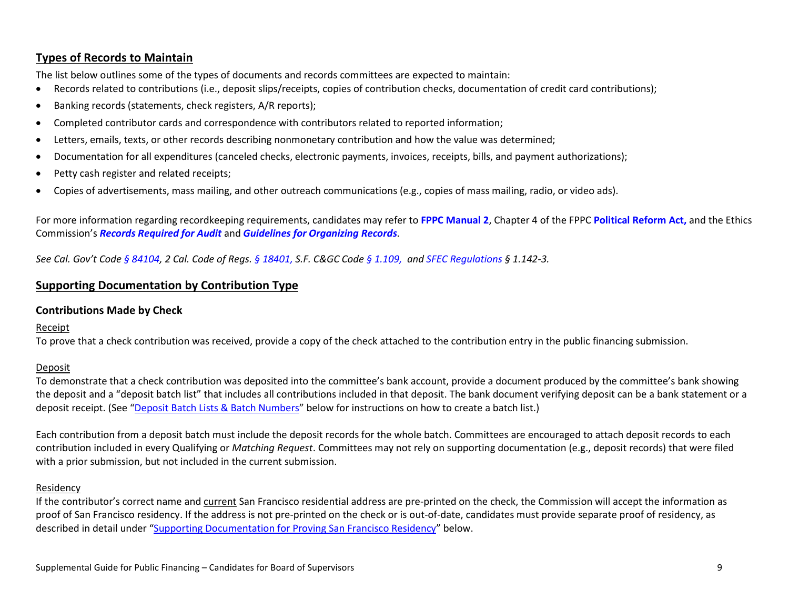#### <span id="page-8-0"></span>**Types of Records to Maintain**

The list below outlines some of the types of documents and records committees are expected to maintain:

- Records related to contributions (i.e., deposit slips/receipts, copies of contribution checks, documentation of credit card contributions);
- Banking records (statements, check registers, A/R reports);
- Completed contributor cards and correspondence with contributors related to reported information;
- Letters, emails, texts, or other records describing nonmonetary contribution and how the value was determined;
- Documentation for all expenditures (canceled checks, electronic payments, invoices, receipts, bills, and payment authorizations);
- Petty cash register and related receipts;
- Copies of advertisements, mass mailing, and other outreach communications (e.g., copies of mass mailing, radio, or video ads).

For more information regarding recordkeeping requirements, candidates may refer to **[FPPC Manual 2](http://www.fppc.ca.gov/content/dam/fppc/NS-Documents/TAD/Campaign%20Manuals/Manual_2/Final_Manual_2_Entire_Manual.pdf)**, Chapter 4 of the FPPC **[Political Reform Act,](http://www.fppc.ca.gov/the-law/the-political-reform-act.html)** and the Ethics Commission's *[Records Required for Audit](https://sfethics.org/compliance/campaigns/audits/required-records)* and *[Guidelines for Organizing Records](https://sfethics.org/wp-content/uploads/2015/04/Records_Required_for_Audit.pdf)*.

<span id="page-8-1"></span>*See Cal. Gov't Code § [84104,](http://leginfo.legislature.ca.gov/faces/codes_displaySection.xhtml?lawCode=GOV§ionNum=84104.) 2 Cal. Code of Regs. § [18401,](http://www.fppc.ca.gov/content/dam/fppc/NS-Documents/LegalDiv/Regulations/Index/Chapter4/18401.pdf) S.F. C&GC Cod[e § 1.109,](http://library.amlegal.com/nxt/gateway.dll/California/campaign/articleielectioncampaigns?f=templates$fn=default.htm$3.0$vid=amlegal:sanfrancisco_ca$anc=JD_1.109) and [SFEC Regulations](https://sfethics.org/ethics/2011/06/-regulations-to-campaign-finance-reform-ordinance-san-francisco-campaign-and-governmental-conduct-co.html) § 1.142-3.*

#### **Supporting Documentation by Contribution Type**

#### <span id="page-8-2"></span>**Contributions Made by Check**

#### Receipt

To prove that a check contribution was received, provide a copy of the check attached to the contribution entry in the public financing submission.

#### Deposit

To demonstrate that a check contribution was deposited into the committee's bank account, provide a document produced by the committee's bank showing the deposit and a "deposit batch list" that includes all contributions included in that deposit. The bank document verifying deposit can be a bank statement or a deposit receipt. (See ["Deposit Batch Lists & Batch Numbers"](#page-13-0) below for instructions on how to create a batch list.)

Each contribution from a deposit batch must include the deposit records for the whole batch. Committees are encouraged to attach deposit records to each contribution included in every Qualifying or *Matching Request*. Committees may not rely on supporting documentation (e.g., deposit records) that were filed with a prior submission, but not included in the current submission.

#### Residency

If the contributor's correct name and current San Francisco residential address are pre-printed on the check, the Commission will accept the information as proof of San Francisco residency. If the address is not pre-printed on the check or is out-of-date, candidates must provide separate proof of residency, as described in detail under ["Supporting Documentation for Proving San Francisco Residency"](#page-12-0) below.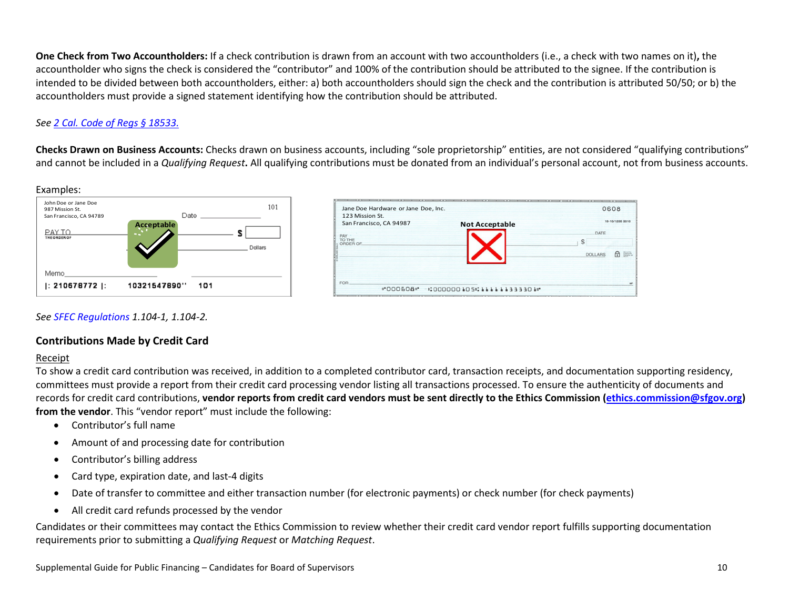**One Check from Two Accountholders:** If a check contribution is drawn from an account with two accountholders (i.e., a check with two names on it)**,** the accountholder who signs the check is considered the "contributor" and 100% of the contribution should be attributed to the signee. If the contribution is intended to be divided between both accountholders, either: a) both accountholders should sign the check and the contribution is attributed 50/50; or b) the accountholders must provide a signed statement identifying how the contribution should be attributed.

#### *See [2 Cal. Code of Regs § 18533.](http://www.fppc.ca.gov/content/dam/fppc/NS-Documents/LegalDiv/Regulations/Index/Chapter5/18533.pdf)*

**Checks Drawn on Business Accounts:** Checks drawn on business accounts, including "sole proprietorship" entities, are not considered "qualifying contributions" and cannot be included in a *Qualifying Request***.** All qualifying contributions must be donated from an individual's personal account, not from business accounts.



#### *See [SFEC Regulations](https://sfethics.org/ethics/2011/06/-regulations-to-campaign-finance-reform-ordinance-san-francisco-campaign-and-governmental-conduct-co.html) 1.104-1, 1.104-2.*

#### <span id="page-9-0"></span>**Contributions Made by Credit Card**

#### Receipt

To show a credit card contribution was received, in addition to a completed contributor card, transaction receipts, and documentation supporting residency, committees must provide a report from their credit card processing vendor listing all transactions processed. To ensure the authenticity of documents and records for credit card contributions, **vendor reports from credit card vendors must be sent directly to the Ethics Commission [\(ethics.commission@sfgov.org\)](mailto:ethics.commission@sfgov.org) from the vendor**. This "vendor report" must include the following:

- Contributor's full name
- Amount of and processing date for contribution
- Contributor's billing address
- Card type, expiration date, and last-4 digits
- Date of transfer to committee and either transaction number (for electronic payments) or check number (for check payments)
- All credit card refunds processed by the vendor

Candidates or their committees may contact the Ethics Commission to review whether their credit card vendor report fulfills supporting documentation requirements prior to submitting a *Qualifying Request* or *Matching Request*.

0608

DATE

DOLLARS

Ŝ

19-10/1250 3310

6 三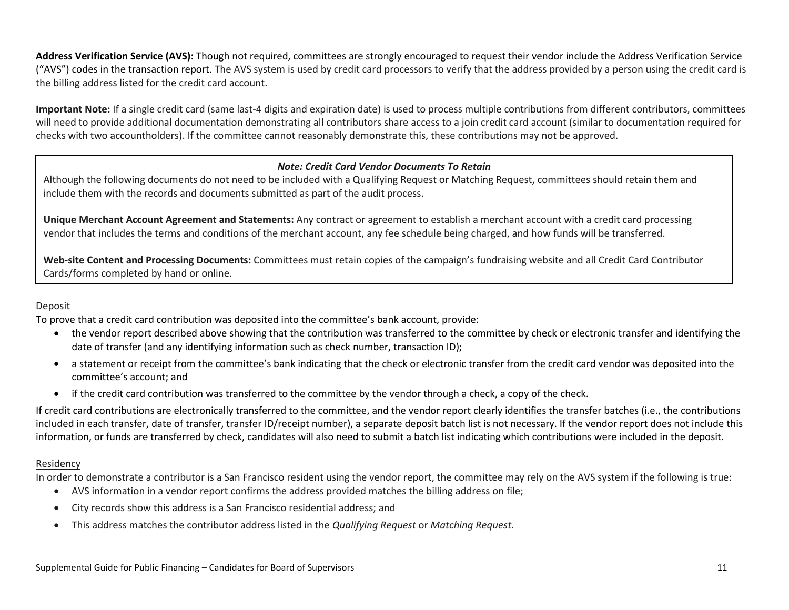**Address Verification Service (AVS):** Though not required, committees are strongly encouraged to request their vendor include the Address Verification Service ("AVS") codes in the transaction report. The AVS system is used by credit card processors to verify that the address provided by a person using the credit card is the billing address listed for the credit card account.

**Important Note:** If a single credit card (same last-4 digits and expiration date) is used to process multiple contributions from different contributors, committees will need to provide additional documentation demonstrating all contributors share access to a join credit card account (similar to documentation required for checks with two accountholders). If the committee cannot reasonably demonstrate this, these contributions may not be approved.

#### *Note: Credit Card Vendor Documents To Retain*

Although the following documents do not need to be included with a Qualifying Request or Matching Request, committees should retain them and include them with the records and documents submitted as part of the audit process.

**Unique Merchant Account Agreement and Statements:** Any contract or agreement to establish a merchant account with a credit card processing vendor that includes the terms and conditions of the merchant account, any fee schedule being charged, and how funds will be transferred.

**Web-site Content and Processing Documents:** Committees must retain copies of the campaign's fundraising website and all Credit Card Contributor Cards/forms completed by hand or online.

#### Deposit

To prove that a credit card contribution was deposited into the committee's bank account, provide:

- the vendor report described above showing that the contribution was transferred to the committee by check or electronic transfer and identifying the date of transfer (and any identifying information such as check number, transaction ID);
- a statement or receipt from the committee's bank indicating that the check or electronic transfer from the credit card vendor was deposited into the committee's account; and
- if the credit card contribution was transferred to the committee by the vendor through a check, a copy of the check.

If credit card contributions are electronically transferred to the committee, and the vendor report clearly identifies the transfer batches (i.e., the contributions included in each transfer, date of transfer, transfer ID/receipt number), a separate deposit batch list is not necessary. If the vendor report does not include this information, or funds are transferred by check, candidates will also need to submit a batch list indicating which contributions were included in the deposit.

#### Residency

In order to demonstrate a contributor is a San Francisco resident using the vendor report, the committee may rely on the AVS system if the following is true:

- AVS information in a vendor report confirms the address provided matches the billing address on file;
- City records show this address is a San Francisco residential address; and
- This address matches the contributor address listed in the *Qualifying Request* or *Matching Request*.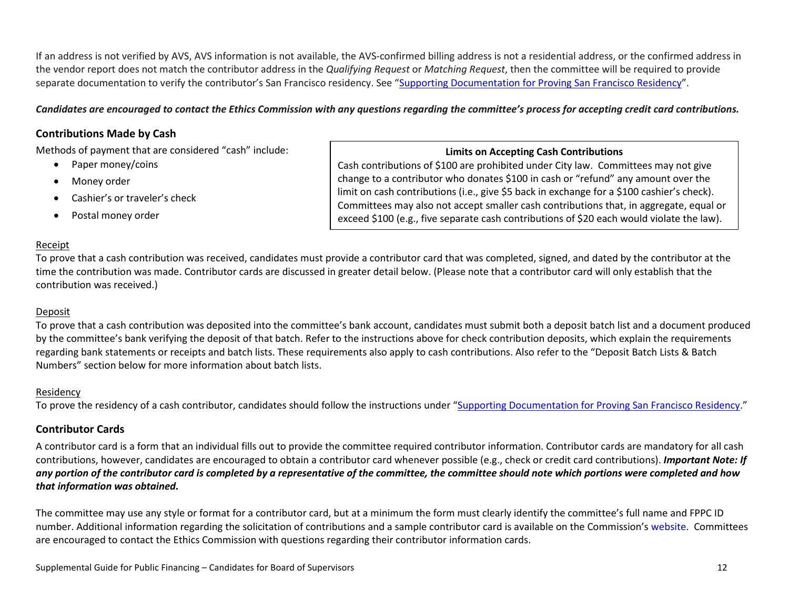If an address is not verified by AVS, AVS information is not available, the AVS-confirmed billing address is not a residential address, or the confirmed address in the vendor report does not match the contributor address in the *Qualifying Request* or *Matching Request*, then the committee will be required to provide separate documentation to verify the contributor's San Francisco residency. See ["Supporting Documentation for Proving San Francisco Residency"](#page-12-0).

#### *Candidates are encouraged to contact the Ethics Commission with any questions regarding the committee's process for accepting credit card contributions.*

#### <span id="page-11-0"></span>**Contributions Made by Cash**

Methods of payment that are considered "cash" include:

- Paper money/coins
- Money order
- Cashier's or traveler's check
- Postal money order

#### **Limits on Accepting Cash Contributions**

Cash contributions of \$100 are prohibited under City law. Committees may not give change to a contributor who donates \$100 in cash or "refund" any amount over the limit on cash contributions (i.e., give \$5 back in exchange for a \$100 cashier's check). Committees may also not accept smaller cash contributions that, in aggregate, equal or exceed \$100 (e.g., five separate cash contributions of \$20 each would violate the law).

#### Receipt

To prove that a cash contribution was received, candidates must provide a contributor card that was completed, signed, and dated by the contributor at the time the contribution was made. Contributor cards are discussed in greater detail below. (Please note that a contributor card will only establish that the contribution was received.)

#### Deposit

To prove that a cash contribution was deposited into the committee's bank account, candidates must submit both a deposit batch list and a document produced by the committee's bank verifying the deposit of that batch. Refer to the instructions above for check contribution deposits, which explain the requirements regarding bank statements or receipts and batch lists. These requirements also apply to cash contributions. Also refer to the "Deposit Batch Lists & Batch Numbers" section below for more information about batch lists.

#### Residency

To prove the residency of a cash contributor, candidates should follow the instructions under ["Supporting Documentation for Proving San Francisco Residency.](#page-12-0)"

#### <span id="page-11-1"></span>**Contributor Cards**

A contributor card is a form that an individual fills out to provide the committee required contributor information. Contributor cards are mandatory for all cash contributions, however, candidates are encouraged to obtain a contributor card whenever possible (e.g., check or credit card contributions). *Important Note: If any portion of the contributor card is completed by a representative of the committee, the committee should note which portions were completed and how that information was obtained.*

The committee may use any style or format for a contributor card, but at a minimum the form must clearly identify the committee's full name and FPPC ID number. Additional information regarding the solicitation of contributions and a sample contributor card is available on the Commission's [website.](https://sfethics.org/compliance/campaigns/candidates/running-the-campaign-fundraising-campaign-communications) Committees are encouraged to contact the Ethics Commission with questions regarding their contributor information cards.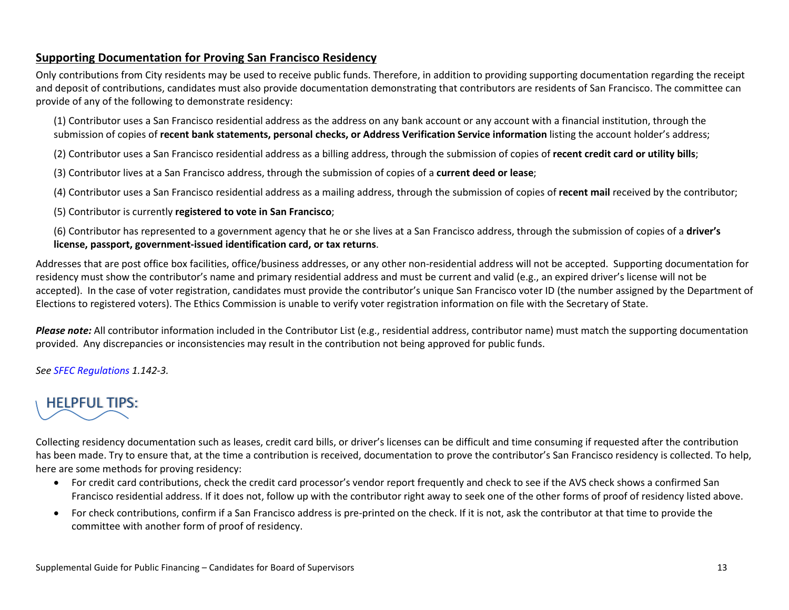#### <span id="page-12-0"></span>**Supporting Documentation for Proving San Francisco Residency**

Only contributions from City residents may be used to receive public funds. Therefore, in addition to providing supporting documentation regarding the receipt and deposit of contributions, candidates must also provide documentation demonstrating that contributors are residents of San Francisco. The committee can provide of any of the following to demonstrate residency:

(1) Contributor uses a San Francisco residential address as the address on any bank account or any account with a financial institution, through the submission of copies of **recent bank statements, personal checks, or Address Verification Service information** listing the account holder's address;

(2) Contributor uses a San Francisco residential address as a billing address, through the submission of copies of **recent credit card or utility bills**;

(3) Contributor lives at a San Francisco address, through the submission of copies of a **current deed or lease**;

(4) Contributor uses a San Francisco residential address as a mailing address, through the submission of copies of **recent mail** received by the contributor;

(5) Contributor is currently **registered to vote in San Francisco**;

(6) Contributor has represented to a government agency that he or she lives at a San Francisco address, through the submission of copies of a **driver's license, passport, government-issued identification card, or tax returns**.

Addresses that are post office box facilities, office/business addresses, or any other non-residential address will not be accepted. Supporting documentation for residency must show the contributor's name and primary residential address and must be current and valid (e.g., an expired driver's license will not be accepted). In the case of voter registration, candidates must provide the contributor's unique San Francisco voter ID (the number assigned by the Department of Elections to registered voters). The Ethics Commission is unable to verify voter registration information on file with the Secretary of State.

*Please note:* All contributor information included in the Contributor List (e.g., residential address, contributor name) must match the supporting documentation provided. Any discrepancies or inconsistencies may result in the contribution not being approved for public funds.

*See [SFEC Regulations](https://sfethics.org/ethics/2011/06/-regulations-to-campaign-finance-reform-ordinance-san-francisco-campaign-and-governmental-conduct-co.html) 1.142-3.* 

# HELPFUL TIPS:

Collecting residency documentation such as leases, credit card bills, or driver's licenses can be difficult and time consuming if requested after the contribution has been made. Try to ensure that, at the time a contribution is received, documentation to prove the contributor's San Francisco residency is collected. To help, here are some methods for proving residency:

- For credit card contributions, check the credit card processor's vendor report frequently and check to see if the AVS check shows a confirmed San Francisco residential address. If it does not, follow up with the contributor right away to seek one of the other forms of proof of residency listed above.
- For check contributions, confirm if a San Francisco address is pre-printed on the check. If it is not, ask the contributor at that time to provide the committee with another form of proof of residency.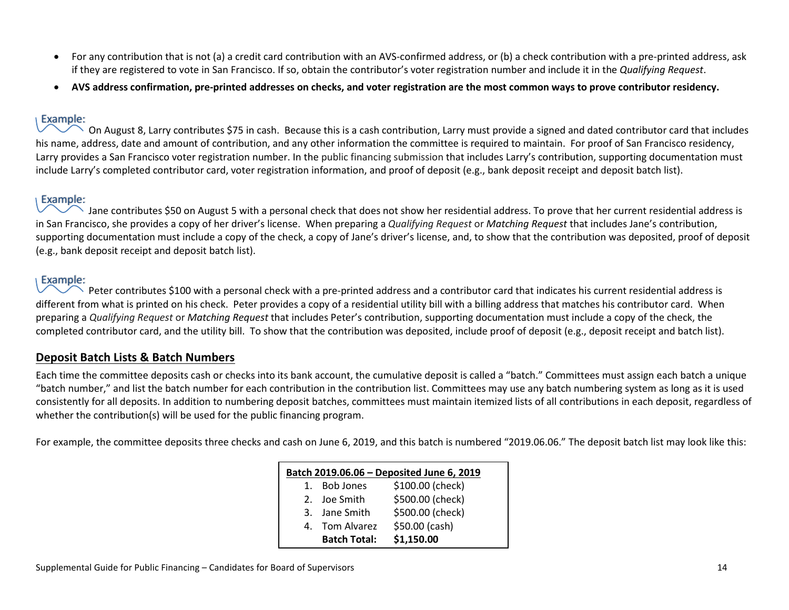- For any contribution that is not (a) a credit card contribution with an AVS-confirmed address, or (b) a check contribution with a pre-printed address, ask if they are registered to vote in San Francisco. If so, obtain the contributor's voter registration number and include it in the *Qualifying Request*.
- **AVS address confirmation, pre-printed addresses on checks, and voter registration are the most common ways to prove contributor residency.**

#### Example:

On August 8, Larry contributes \$75 in cash. Because this is a cash contribution, Larry must provide a signed and dated contributor card that includes his name, address, date and amount of contribution, and any other information the committee is required to maintain. For proof of San Francisco residency, Larry provides a San Francisco voter registration number. In the public financing submission that includes Larry's contribution, supporting documentation must include Larry's completed contributor card, voter registration information, and proof of deposit (e.g., bank deposit receipt and deposit batch list).

#### Example:

Jane contributes \$50 on August 5 with a personal check that does not show her residential address. To prove that her current residential address is in San Francisco, she provides a copy of her driver's license. When preparing a *Qualifying Request* or *Matching Request* that includes Jane's contribution, supporting documentation must include a copy of the check, a copy of Jane's driver's license, and, to show that the contribution was deposited, proof of deposit (e.g., bank deposit receipt and deposit batch list).

#### Example:

 $\searrow$  Peter contributes \$100 with a personal check with a pre-printed address and a contributor card that indicates his current residential address is different from what is printed on his check. Peter provides a copy of a residential utility bill with a billing address that matches his contributor card. When preparing a *Qualifying Request* or *Matching Request* that includes Peter's contribution, supporting documentation must include a copy of the check, the completed contributor card, and the utility bill. To show that the contribution was deposited, include proof of deposit (e.g., deposit receipt and batch list).

#### <span id="page-13-0"></span>**Deposit Batch Lists & Batch Numbers**

Each time the committee deposits cash or checks into its bank account, the cumulative deposit is called a "batch." Committees must assign each batch a unique "batch number," and list the batch number for each contribution in the contribution list. Committees may use any batch numbering system as long as it is used consistently for all deposits. In addition to numbering deposit batches, committees must maintain itemized lists of all contributions in each deposit, regardless of whether the contribution(s) will be used for the public financing program.

For example, the committee deposits three checks and cash on June 6, 2019, and this batch is numbered "2019.06.06." The deposit batch list may look like this:

| Batch 2019.06.06 - Deposited June 6, 2019 |                     |                  |  |  |  |  |
|-------------------------------------------|---------------------|------------------|--|--|--|--|
| $\mathbf{1}$ .                            | Bob Jones           | \$100.00 (check) |  |  |  |  |
|                                           | 2. Joe Smith        | \$500.00 (check) |  |  |  |  |
|                                           | 3. Jane Smith       | \$500.00 (check) |  |  |  |  |
|                                           | 4. Tom Alvarez      | \$50.00 (cash)   |  |  |  |  |
|                                           | <b>Batch Total:</b> | \$1,150.00       |  |  |  |  |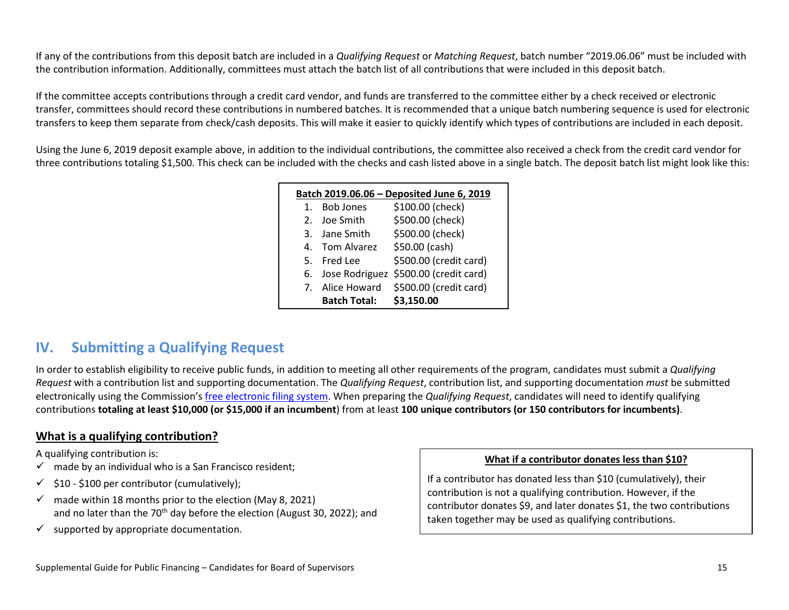If any of the contributions from this deposit batch are included in a *Qualifying Request* or *Matching Request*, batch number "2019.06.06" must be included with the contribution information. Additionally, committees must attach the batch list of all contributions that were included in this deposit batch.

If the committee accepts contributions through a credit card vendor, and funds are transferred to the committee either by a check received or electronic transfer, committees should record these contributions in numbered batches. It is recommended that a unique batch numbering sequence is used for electronic transfers to keep them separate from check/cash deposits. This will make it easier to quickly identify which types of contributions are included in each deposit.

Using the June 6, 2019 deposit example above, in addition to the individual contributions, the committee also received a check from the credit card vendor for three contributions totaling \$1,500. This check can be included with the checks and cash listed above in a single batch. The deposit batch list might look like this:

| Batch 2019.06.06 - Deposited June 6, 2019 |                     |                                          |  |  |  |  |  |
|-------------------------------------------|---------------------|------------------------------------------|--|--|--|--|--|
| $1_{-}$                                   | <b>Bob Jones</b>    | \$100.00 (check)                         |  |  |  |  |  |
|                                           | 2. Joe Smith        | \$500.00 (check)                         |  |  |  |  |  |
|                                           | 3. Jane Smith       | \$500.00 (check)                         |  |  |  |  |  |
|                                           | 4. Tom Alvarez      | \$50.00 (cash)                           |  |  |  |  |  |
|                                           | 5. Fred Lee         | \$500.00 (credit card)                   |  |  |  |  |  |
|                                           |                     | 6. Jose Rodriguez \$500.00 (credit card) |  |  |  |  |  |
|                                           | 7. Alice Howard     | \$500.00 (credit card)                   |  |  |  |  |  |
|                                           | <b>Batch Total:</b> | \$3.150.00                               |  |  |  |  |  |

## <span id="page-14-0"></span>**IV. Submitting a Qualifying Request**

In order to establish eligibility to receive public funds, in addition to meeting all other requirements of the program, candidates must submit a *Qualifying Request* with a contribution list and supporting documentation. The *Qualifying Request*, contribution list, and supporting documentation *must* be submitted electronically using the Commission'[s free electronic filing system.](https://sfethics.org/compliance/campaigns/register-for-a-campaign-committee-electronic-filing-account) When preparing the *Qualifying Request*, candidates will need to identify qualifying contributions **totaling at least \$10,000 (or \$15,000 if an incumbent**) from at least **100 unique contributors (or 150 contributors for incumbents)**.

#### **What is a qualifying contribution?**

<span id="page-14-1"></span>A qualifying contribution is:

- $\checkmark$  made by an individual who is a San Francisco resident;
- $\checkmark$  \$10 \$100 per contributor (cumulatively);
- $\checkmark$  made within 18 months prior to the election (May 8, 2021) and no later than the  $70<sup>th</sup>$  day before the election (August 30, 2022); and
- $\checkmark$  supported by appropriate documentation.

#### **What if a contributor donates less than \$10?**

If a contributor has donated less than \$10 (cumulatively), their contribution is not a qualifying contribution. However, if the contributor donates \$9, and later donates \$1, the two contributions taken together may be used as qualifying contributions.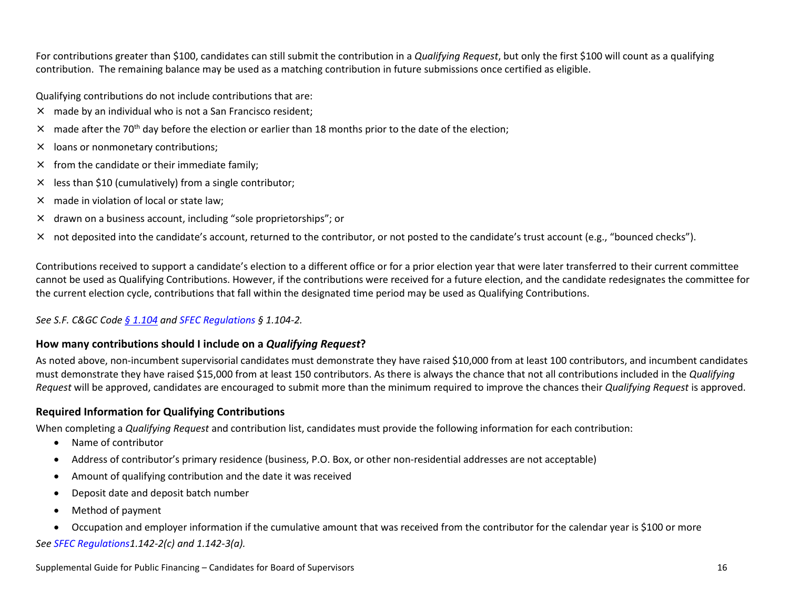For contributions greater than \$100, candidates can still submit the contribution in a *Qualifying Request*, but only the first \$100 will count as a qualifying contribution. The remaining balance may be used as a matching contribution in future submissions once certified as eligible.

Qualifying contributions do not include contributions that are:

- × made by an individual who is not a San Francisco resident;
- $\times$  made after the 70<sup>th</sup> day before the election or earlier than 18 months prior to the date of the election;
- × loans or nonmonetary contributions;
- $\times$  from the candidate or their immediate family;
- $\times$  less than \$10 (cumulatively) from a single contributor;
- × made in violation of local or state law;
- × drawn on a business account, including "sole proprietorships"; or
- × not deposited into the candidate's account, returned to the contributor, or not posted to the candidate's trust account (e.g., "bounced checks").

Contributions received to support a candidate's election to a different office or for a prior election year that were later transferred to their current committee cannot be used as Qualifying Contributions. However, if the contributions were received for a future election, and the candidate redesignates the committee for the current election cycle, contributions that fall within the designated time period may be used as Qualifying Contributions.

#### *See [S.F. C&GC](http://library.amlegal.com/nxt/gateway.dll/California/campaign/articleielectioncampaigns?f=templates$fn=default.htm$3.0$vid=amlegal:sanfrancisco_ca$anc=JD_Art.ICh.1) Code [§ 1.104](https://codelibrary.amlegal.com/codes/san_francisco/latest/sf_campaign/0-0-0-43) and [SFEC Regulations](https://sfethics.org/ethics/2011/06/-regulations-to-campaign-finance-reform-ordinance-san-francisco-campaign-and-governmental-conduct-co.html) § 1.104-2.*

#### <span id="page-15-0"></span>**How many contributions should I include on a** *Qualifying Request***?**

As noted above, non-incumbent supervisorial candidates must demonstrate they have raised \$10,000 from at least 100 contributors, and incumbent candidates must demonstrate they have raised \$15,000 from at least 150 contributors. As there is always the chance that not all contributions included in the *Qualifying Request* will be approved, candidates are encouraged to submit more than the minimum required to improve the chances their *Qualifying Request* is approved.

#### <span id="page-15-1"></span>**Required Information for Qualifying Contributions**

When completing a *Qualifying Request* and contribution list, candidates must provide the following information for each contribution:

- Name of contributor
- Address of contributor's primary residence (business, P.O. Box, or other non-residential addresses are not acceptable)
- Amount of qualifying contribution and the date it was received
- Deposit date and deposit batch number
- Method of payment

• Occupation and employer information if the cumulative amount that was received from the contributor for the calendar year is \$100 or more *See [SFEC Regulations1](https://sfethics.org/ethics/2011/06/-regulations-to-campaign-finance-reform-ordinance-san-francisco-campaign-and-governmental-conduct-co.html).142-2(c) and 1.142-3(a).*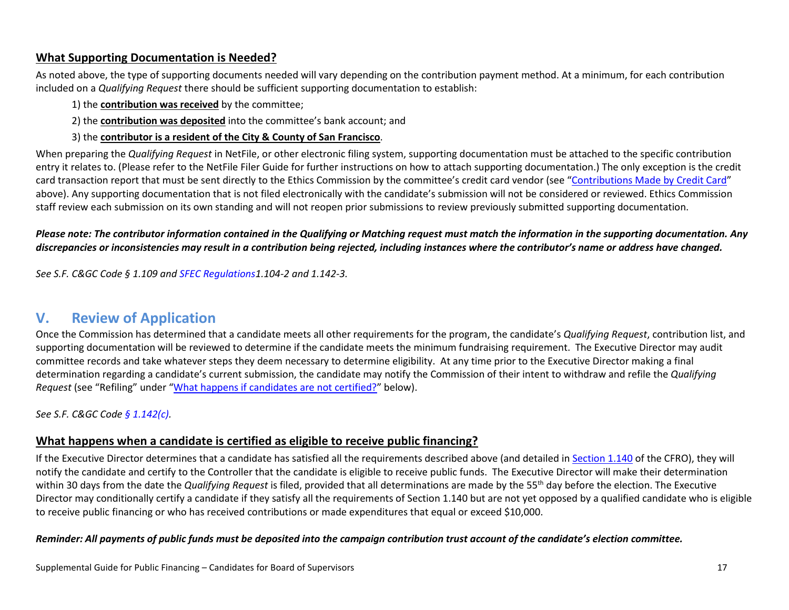#### <span id="page-16-0"></span>**What Supporting Documentation is Needed?**

As noted above, the type of supporting documents needed will vary depending on the contribution payment method. At a minimum, for each contribution included on a *Qualifying Request* there should be sufficient supporting documentation to establish:

- 1) the **contribution was received** by the committee;
- 2) the **contribution was deposited** into the committee's bank account; and
- 3) the **contributor is a resident of the City & County of San Francisco**.

When preparing the *Qualifying Request* in NetFile, or other electronic filing system, supporting documentation must be attached to the specific contribution entry it relates to. (Please refer to the NetFile Filer Guide for further instructions on how to attach supporting documentation.) The only exception is the credit card transaction report that must be sent directly to the Ethics Commission by the committee's credit card vendor (see ["Contributions Made by Credit Card"](#page-9-0) above). Any supporting documentation that is not filed electronically with the candidate's submission will not be considered or reviewed. Ethics Commission staff review each submission on its own standing and will not reopen prior submissions to review previously submitted supporting documentation.

#### *Please note: The contributor information contained in the Qualifying or Matching request must match the information in the supporting documentation. Any*  discrepancies or inconsistencies may result in a contribution being rejected, including instances where the contributor's name or address have changed.

*See S.F. C&GC Code § 1.109 and [SFEC Regulations1](https://sfethics.org/ethics/2011/06/-regulations-to-campaign-finance-reform-ordinance-san-francisco-campaign-and-governmental-conduct-co.html).104-2 and 1.142-3.*

## <span id="page-16-1"></span>**V. Review of Application**

Once the Commission has determined that a candidate meets all other requirements for the program, the candidate's *Qualifying Request*, contribution list, and supporting documentation will be reviewed to determine if the candidate meets the minimum fundraising requirement. The Executive Director may audit committee records and take whatever steps they deem necessary to determine eligibility. At any time prior to the Executive Director making a final determination regarding a candidate's current submission, the candidate may notify the Commission of their intent to withdraw and refile the *Qualifying Request* (see "Refiling" under ["What happens if candidates](#page-17-0) are not certified?" below).

<span id="page-16-2"></span>*See [S.F. C&GC](http://library.amlegal.com/nxt/gateway.dll/California/campaign/articleielectioncampaigns?f=templates$fn=default.htm$3.0$vid=amlegal:sanfrancisco_ca$anc=JD_Art.ICh.1) Code [§ 1.142\(c\).](http://library.amlegal.com/nxt/gateway.dll/California/campaign/articleielectioncampaigns?f=templates$fn=default.htm$3.0$vid=amlegal:sanfrancisco_ca$anc=JD_1.142)* 

#### **What happens when a candidate is certified as eligible to receive public financing?**

If the Executive Director determines that a candidate has satisfied all the requirements described above (and detailed i[n Section 1.140](https://codelibrary.amlegal.com/codes/san_francisco/latest/sf_campaign/0-0-0-303) of the CFRO), they will notify the candidate and certify to the Controller that the candidate is eligible to receive public funds. The Executive Director will make their determination within 30 days from the date the *Qualifying Request* is filed, provided that all determinations are made by the 55<sup>th</sup> day before the election. The Executive Director may conditionally certify a candidate if they satisfy all the requirements of Section 1.140 but are not yet opposed by a qualified candidate who is eligible to receive public financing or who has received contributions or made expenditures that equal or exceed \$10,000.

#### *Reminder: All payments of public funds must be deposited into the campaign contribution trust account of the candidate's election committee.*

Supplemental Guide for Public Financing – Candidates for Board of Supervisors 17 and 17 and 17 and 17 and 17 and 17 and 17 and 17 and 17 and 17 and 17 and 17 and 17 and 17 and 17 and 17 and 17 and 17 and 17 and 17 and 17 a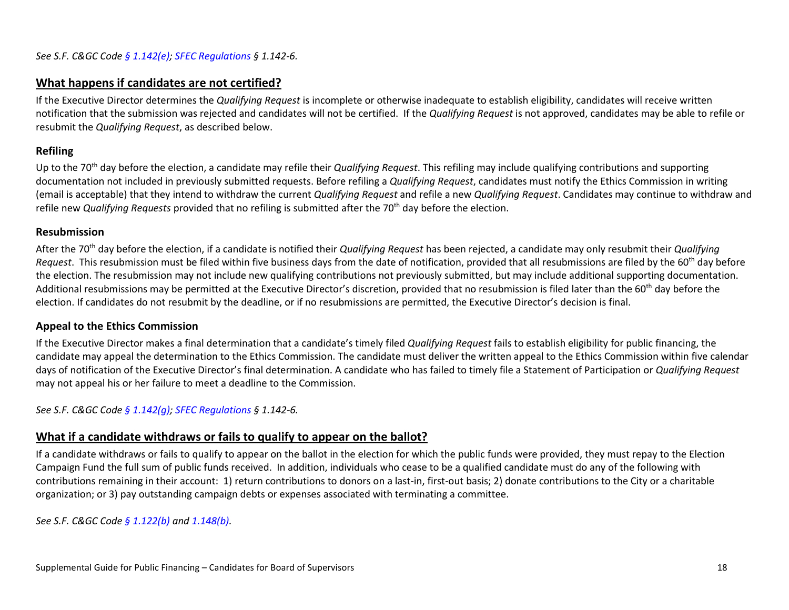#### <span id="page-17-0"></span>**What happens if candidates are not certified?**

If the Executive Director determines the *Qualifying Request* is incomplete or otherwise inadequate to establish eligibility, candidates will receive written notification that the submission was rejected and candidates will not be certified. If the *Qualifying Request* is not approved, candidates may be able to refile or resubmit the *Qualifying Request*, as described below.

#### <span id="page-17-1"></span>**Refiling**

Up to the 70th day before the election, a candidate may refile their *Qualifying Request*. This refiling may include qualifying contributions and supporting documentation not included in previously submitted requests. Before refiling a *Qualifying Request*, candidates must notify the Ethics Commission in writing (email is acceptable) that they intend to withdraw the current *Qualifying Request* and refile a new *Qualifying Request*. Candidates may continue to withdraw and refile new *Qualifying Requests* provided that no refiling is submitted after the 70th day before the election.

#### <span id="page-17-2"></span>**Resubmission**

After the 70th day before the election, if a candidate is notified their *Qualifying Request* has been rejected, a candidate may only resubmit their *Qualifying Request*. This resubmission must be filed within five business days from the date of notification, provided that all resubmissions are filed by the 60<sup>th</sup> day before the election. The resubmission may not include new qualifying contributions not previously submitted, but may include additional supporting documentation. Additional resubmissions may be permitted at the Executive Director's discretion, provided that no resubmission is filed later than the 60<sup>th</sup> day before the election. If candidates do not resubmit by the deadline, or if no resubmissions are permitted, the Executive Director's decision is final.

#### <span id="page-17-3"></span>**Appeal to the Ethics Commission**

If the Executive Director makes a final determination that a candidate's timely filed *Qualifying Request* fails to establish eligibility for public financing, the candidate may appeal the determination to the Ethics Commission. The candidate must deliver the written appeal to the Ethics Commission within five calendar days of notification of the Executive Director's final determination. A candidate who has failed to timely file a Statement of Participation or *Qualifying Request* may not appeal his or her failure to meet a deadline to the Commission.

<span id="page-17-4"></span>*See [S.F. C&GC](http://library.amlegal.com/nxt/gateway.dll/California/campaign/articleielectioncampaigns?f=templates$fn=default.htm$3.0$vid=amlegal:sanfrancisco_ca$anc=JD_Art.ICh.1) Code [§ 1.142\(g\);](http://library.amlegal.com/nxt/gateway.dll/California/campaign/articleielectioncampaigns?f=templates$fn=default.htm$3.0$vid=amlegal:sanfrancisco_ca$anc=JD_1.142) [SFEC Regulations](https://sfethics.org/ethics/2011/06/-regulations-to-campaign-finance-reform-ordinance-san-francisco-campaign-and-governmental-conduct-co.html) § 1.142-6.*

#### **What if a candidate withdraws or fails to qualify to appear on the ballot?**

If a candidate withdraws or fails to qualify to appear on the ballot in the election for which the public funds were provided, they must repay to the Election Campaign Fund the full sum of public funds received. In addition, individuals who cease to be a qualified candidate must do any of the following with contributions remaining in their account: 1) return contributions to donors on a last-in, first-out basis; 2) donate contributions to the City or a charitable organization; or 3) pay outstanding campaign debts or expenses associated with terminating a committee.

*See [S.F. C&GC](http://library.amlegal.com/nxt/gateway.dll/California/campaign/articleielectioncampaigns?f=templates$fn=default.htm$3.0$vid=amlegal:sanfrancisco_ca$anc=JD_Art.ICh.1) Code [§ 1.122\(b\)](http://library.amlegal.com/nxt/gateway.dll/California/campaign/articleielectioncampaigns?f=templates$fn=default.htm$3.0$vid=amlegal:sanfrancisco_ca$anc=JD_1.122) an[d 1.148\(b\).](http://library.amlegal.com/nxt/gateway.dll/California/campaign/articleielectioncampaigns?f=templates$fn=default.htm$3.0$vid=amlegal:sanfrancisco_ca$anc=JD_1.148)*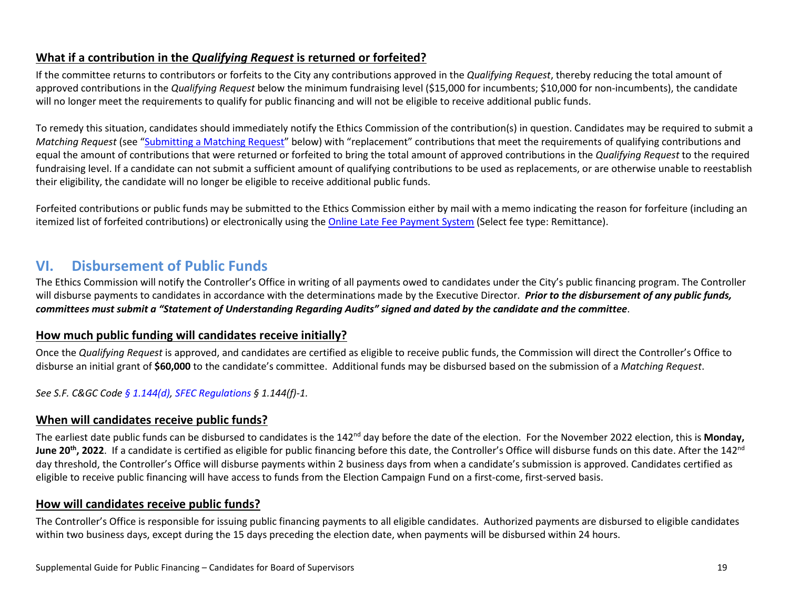#### <span id="page-18-0"></span>**What if a contribution in the** *Qualifying Request* **is returned or forfeited?**

If the committee returns to contributors or forfeits to the City any contributions approved in the *Qualifying Request*, thereby reducing the total amount of approved contributions in the *Qualifying Request* below the minimum fundraising level (\$15,000 for incumbents; \$10,000 for non-incumbents), the candidate will no longer meet the requirements to qualify for public financing and will not be eligible to receive additional public funds.

To remedy this situation, candidates should immediately notify the Ethics Commission of the contribution(s) in question. Candidates may be required to submit a *Matching Request* (see ["Submitting a Matching Request"](#page-20-1) below) with "replacement" contributions that meet the requirements of qualifying contributions and equal the amount of contributions that were returned or forfeited to bring the total amount of approved contributions in the *Qualifying Request* to the required fundraising level. If a candidate can not submit a sufficient amount of qualifying contributions to be used as replacements, or are otherwise unable to reestablish their eligibility, the candidate will no longer be eligible to receive additional public funds.

Forfeited contributions or public funds may be submitted to the Ethics Commission either by mail with a memo indicating the reason for forfeiture (including an itemized list of forfeited contributions) or electronically using th[e Online Late Fee Payment System](https://sfethics.org/compliance/campaigns/late-fees) (Select fee type: Remittance).

## <span id="page-18-1"></span>**VI. Disbursement of Public Funds**

The Ethics Commission will notify the Controller's Office in writing of all payments owed to candidates under the City's public financing program. The Controller will disburse payments to candidates in accordance with the determinations made by the Executive Director. *Prior to the disbursement of any public funds, committees must submit a "Statement of Understanding Regarding Audits" signed and dated by the candidate and the committee*.

#### <span id="page-18-2"></span>**How much public funding will candidates receive initially?**

Once the *Qualifying Request* is approved, and candidates are certified as eligible to receive public funds, the Commission will direct the Controller's Office to disburse an initial grant of **\$60,000** to the candidate's committee. Additional funds may be disbursed based on the submission of a *Matching Request*.

<span id="page-18-3"></span>*See [S.F. C&GC](http://library.amlegal.com/nxt/gateway.dll/California/campaign/articleielectioncampaigns?f=templates$fn=default.htm$3.0$vid=amlegal:sanfrancisco_ca$anc=JD_Art.ICh.1) Code [§ 1.144\(d\),](http://library.amlegal.com/nxt/gateway.dll/California/campaign/articleielectioncampaigns?f=templates$fn=default.htm$3.0$vid=amlegal:sanfrancisco_ca$anc=JD_1.144) [SFEC Regulations](https://sfethics.org/ethics/2011/06/-regulations-to-campaign-finance-reform-ordinance-san-francisco-campaign-and-governmental-conduct-co.html) § 1.144(f)-1.* 

#### **When will candidates receive public funds?**

The earliest date public funds can be disbursed to candidates is the 142nd day before the date of the election. For the November 2022 election, this is **Monday, June 20<sup>th</sup>, 2022**. If a candidate is certified as eligible for public financing before this date, the Controller's Office will disburse funds on this date. After the 142<sup>nd</sup> day threshold, the Controller's Office will disburse payments within 2 business days from when a candidate's submission is approved. Candidates certified as eligible to receive public financing will have access to funds from the Election Campaign Fund on a first-come, first-served basis.

#### <span id="page-18-4"></span>**How will candidates receive public funds?**

The Controller's Office is responsible for issuing public financing payments to all eligible candidates. Authorized payments are disbursed to eligible candidates within two business days, except during the 15 days preceding the election date, when payments will be disbursed within 24 hours.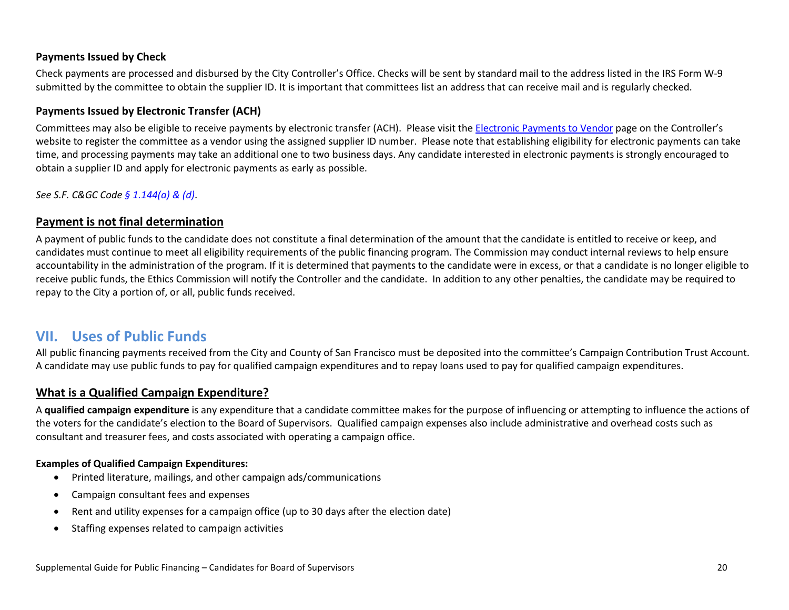#### <span id="page-19-0"></span>**Payments Issued by Check**

Check payments are processed and disbursed by the City Controller's Office. Checks will be sent by standard mail to the address listed in the IRS Form W-9 submitted by the committee to obtain the supplier ID. It is important that committees list an address that can receive mail and is regularly checked.

#### <span id="page-19-1"></span>**Payments Issued by Electronic Transfer (ACH)**

Committees may also be eligible to receive payments by electronic transfer (ACH). Please visit the **Electronic Payments to Vendor** page on the Controller's website to register the committee as a vendor using the assigned supplier ID number. Please note that establishing eligibility for electronic payments can take time, and processing payments may take an additional one to two business days. Any candidate interested in electronic payments is strongly encouraged to obtain a supplier ID and apply for electronic payments as early as possible.

<span id="page-19-2"></span>*See [S.F. C&GC](http://library.amlegal.com/nxt/gateway.dll/California/campaign/articleielectioncampaigns?f=templates$fn=default.htm$3.0$vid=amlegal:sanfrancisco_ca$anc=JD_Art.ICh.1) Code [§ 1.144\(a\) & \(d\)](http://library.amlegal.com/nxt/gateway.dll/California/campaign/articleielectioncampaigns?f=templates$fn=default.htm$3.0$vid=amlegal:sanfrancisco_ca$anc=JD_1.144)*.

#### **Payment is not final determination**

A payment of public funds to the candidate does not constitute a final determination of the amount that the candidate is entitled to receive or keep, and candidates must continue to meet all eligibility requirements of the public financing program. The Commission may conduct internal reviews to help ensure accountability in the administration of the program. If it is determined that payments to the candidate were in excess, or that a candidate is no longer eligible to receive public funds, the Ethics Commission will notify the Controller and the candidate. In addition to any other penalties, the candidate may be required to repay to the City a portion of, or all, public funds received.

### <span id="page-19-3"></span>**VII. Uses of Public Funds**

All public financing payments received from the City and County of San Francisco must be deposited into the committee's Campaign Contribution Trust Account. A candidate may use public funds to pay for qualified campaign expenditures and to repay loans used to pay for qualified campaign expenditures.

#### <span id="page-19-4"></span>**What is a Qualified Campaign Expenditure?**

A **qualified campaign expenditure** is any expenditure that a candidate committee makes for the purpose of influencing or attempting to influence the actions of the voters for the candidate's election to the Board of Supervisors. Qualified campaign expenses also include administrative and overhead costs such as consultant and treasurer fees, and costs associated with operating a campaign office.

#### **Examples of Qualified Campaign Expenditures:**

- Printed literature, mailings, and other campaign ads/communications
- Campaign consultant fees and expenses
- Rent and utility expenses for a campaign office (up to 30 days after the election date)
- Staffing expenses related to campaign activities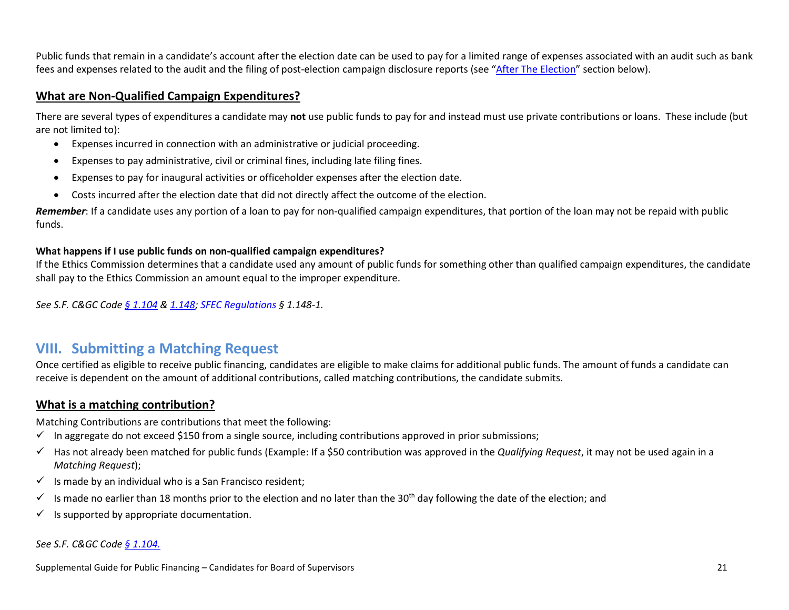Public funds that remain in a candidate's account after the election date can be used to pay for a limited range of expenses associated with an audit such as bank fees and expenses related to the audit and the filing of post-election campaign disclosure reports (see ["After The Election"](#page-24-0) section below).

#### <span id="page-20-0"></span>**What are Non-Qualified Campaign Expenditures?**

There are several types of expenditures a candidate may **not** use public funds to pay for and instead must use private contributions or loans. These include (but are not limited to):

- Expenses incurred in connection with an administrative or judicial proceeding.
- Expenses to pay administrative, civil or criminal fines, including late filing fines.
- Expenses to pay for inaugural activities or officeholder expenses after the election date.
- Costs incurred after the election date that did not directly affect the outcome of the election.

*Remember*: If a candidate uses any portion of a loan to pay for non-qualified campaign expenditures, that portion of the loan may not be repaid with public funds.

#### **What happens if I use public funds on non-qualified campaign expenditures?**

If the Ethics Commission determines that a candidate used any amount of public funds for something other than qualified campaign expenditures, the candidate shall pay to the Ethics Commission an amount equal to the improper expenditure.

*See S.F. C&GC Code [§ 1.104](http://library.amlegal.com/nxt/gateway.dll/California/campaign/articleielectioncampaigns?f=templates$fn=default.htm$3.0$vid=amlegal:sanfrancisco_ca$anc=JD_1.104) & [1.148;](http://library.amlegal.com/nxt/gateway.dll/California/campaign/articleielectioncampaigns?f=templates$fn=default.htm$3.0$vid=amlegal:sanfrancisco_ca$anc=JD_1.148) [SFEC Regulations](https://sfethics.org/ethics/2011/06/-regulations-to-campaign-finance-reform-ordinance-san-francisco-campaign-and-governmental-conduct-co.html) § 1.148-1.*

### <span id="page-20-1"></span>**VIII. Submitting a Matching Request**

Once certified as eligible to receive public financing, candidates are eligible to make claims for additional public funds. The amount of funds a candidate can receive is dependent on the amount of additional contributions, called matching contributions, the candidate submits.

#### <span id="page-20-2"></span>**What is a matching contribution?**

Matching Contributions are contributions that meet the following:

- $\checkmark$  In aggregate do not exceed \$150 from a single source, including contributions approved in prior submissions;
- $\checkmark$  Has not already been matched for public funds (Example: If a \$50 contribution was approved in the *Qualifying Request*, it may not be used again in a *Matching Request*);
- $\checkmark$  Is made by an individual who is a San Francisco resident;
- Is made no earlier than 18 months prior to the election and no later than the 30<sup>th</sup> day following the date of the election; and
- $\checkmark$  Is supported by appropriate documentation.

#### *See S.F. C&GC Code [§ 1.104.](http://library.amlegal.com/nxt/gateway.dll/California/campaign/articleielectioncampaigns?f=templates$fn=default.htm$3.0$vid=amlegal:sanfrancisco_ca$anc=JD_1.104)*

Supplemental Guide for Public Financing – Candidates for Board of Supervisors 21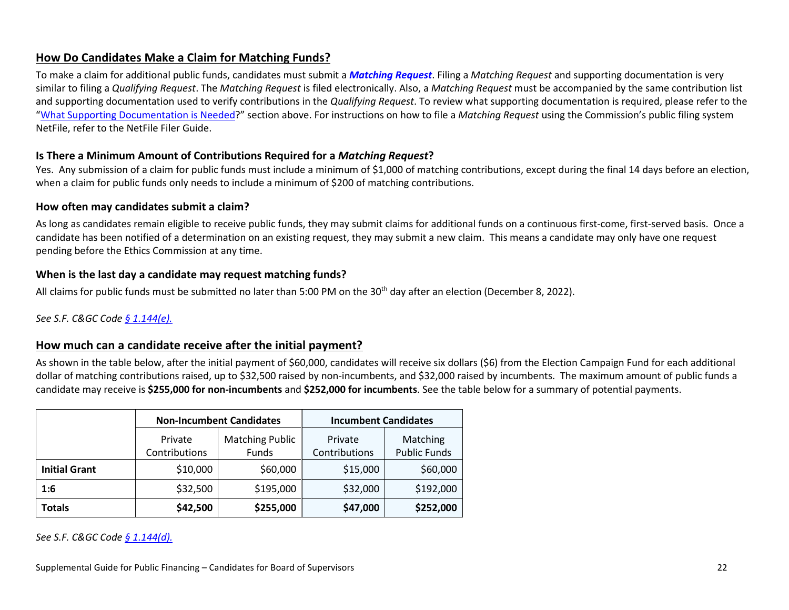#### <span id="page-21-0"></span>**How Do Candidates Make a Claim for Matching Funds?**

To make a claim for additional public funds, candidates must submit a *[Matching Request](https://sfethics.org/compliance/campaigns/complete-list-of-campaign-public-finance-forms)*. Filing a *Matching Request* and supporting documentation is very similar to filing a *Qualifying Request*. The *Matching Request* is filed electronically. Also, a *Matching Request* must be accompanied by the same contribution list and supporting documentation used to verify contributions in the *Qualifying Request*. To review what supporting documentation is required, please refer to the ["What Supporting Documentation is Needed?](#page-16-0)" section above. For instructions on how to file a *Matching Request* using the Commission's public filing system NetFile, refer to the NetFile Filer Guide.

#### <span id="page-21-1"></span>**Is There a Minimum Amount of Contributions Required for a** *Matching Request***?**

Yes. Any submission of a claim for public funds must include a minimum of \$1,000 of matching contributions, except during the final 14 days before an election, when a claim for public funds only needs to include a minimum of \$200 of matching contributions.

#### <span id="page-21-2"></span>**How often may candidates submit a claim?**

As long as candidates remain eligible to receive public funds, they may submit claims for additional funds on a continuous first-come, first-served basis. Once a candidate has been notified of a determination on an existing request, they may submit a new claim. This means a candidate may only have one request pending before the Ethics Commission at any time.

#### <span id="page-21-3"></span>**When is the last day a candidate may request matching funds?**

All claims for public funds must be submitted no later than 5:00 PM on the 30<sup>th</sup> day after an election (December 8, 2022).

#### <span id="page-21-4"></span>*See S.F. C&GC Code [§ 1.144\(e\).](http://library.amlegal.com/nxt/gateway.dll/California/campaign/articleielectioncampaigns?f=templates$fn=default.htm$3.0$vid=amlegal:sanfrancisco_ca$anc=JD_1.144)*

#### **How much can a candidate receive after the initial payment?**

As shown in the table below, after the initial payment of \$60,000, candidates will receive six dollars (\$6) from the Election Campaign Fund for each additional dollar of matching contributions raised, up to \$32,500 raised by non-incumbents, and \$32,000 raised by incumbents. The maximum amount of public funds a candidate may receive is **\$255,000 for non-incumbents** and **\$252,000 for incumbents**. See the table below for a summary of potential payments.

|                      | <b>Non-Incumbent Candidates</b> |                                        | <b>Incumbent Candidates</b> |                                 |  |
|----------------------|---------------------------------|----------------------------------------|-----------------------------|---------------------------------|--|
|                      | Private<br>Contributions        | <b>Matching Public</b><br><b>Funds</b> | Private<br>Contributions    | Matching<br><b>Public Funds</b> |  |
| <b>Initial Grant</b> | \$10,000                        | \$60,000                               | \$15,000                    | \$60,000                        |  |
| 1:6                  | \$32,500                        | \$195,000                              | \$32,000                    | \$192,000                       |  |
| <b>Totals</b>        | \$42,500                        | \$255,000                              | \$47,000                    | \$252,000                       |  |

*See S.F. C&GC Code [§ 1.144\(d\).](http://library.amlegal.com/nxt/gateway.dll/California/campaign/articleielectioncampaigns?f=templates$fn=default.htm$3.0$vid=amlegal:sanfrancisco_ca$anc=JD_1.144)*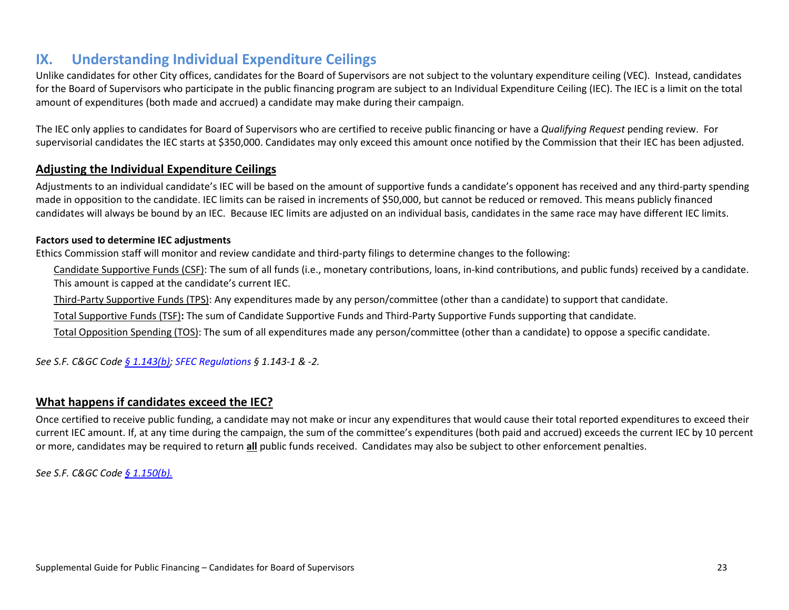## <span id="page-22-0"></span>**IX. Understanding Individual Expenditure Ceilings**

Unlike candidates for other City offices, candidates for the Board of Supervisors are not subject to the voluntary expenditure ceiling (VEC). Instead, candidates for the Board of Supervisors who participate in the public financing program are subject to an Individual Expenditure Ceiling (IEC). The IEC is a limit on the total amount of expenditures (both made and accrued) a candidate may make during their campaign.

The IEC only applies to candidates for Board of Supervisors who are certified to receive public financing or have a *Qualifying Request* pending review. For supervisorial candidates the IEC starts at \$350,000. Candidates may only exceed this amount once notified by the Commission that their IEC has been adjusted.

#### <span id="page-22-1"></span>**Adjusting the Individual Expenditure Ceilings**

Adjustments to an individual candidate's IEC will be based on the amount of supportive funds a candidate's opponent has received and any third-party spending made in opposition to the candidate. IEC limits can be raised in increments of \$50,000, but cannot be reduced or removed. This means publicly financed candidates will always be bound by an IEC. Because IEC limits are adjusted on an individual basis, candidates in the same race may have different IEC limits.

#### **Factors used to determine IEC adjustments**

Ethics Commission staff will monitor and review candidate and third-party filings to determine changes to the following:

Candidate Supportive Funds (CSF): The sum of all funds (i.e., monetary contributions, loans, in-kind contributions, and public funds) received by a candidate. This amount is capped at the candidate's current IEC.

Third-Party Supportive Funds (TPS): Any expenditures made by any person/committee (other than a candidate) to support that candidate.

Total Supportive Funds (TSF)**:** The sum of Candidate Supportive Funds and Third-Party Supportive Funds supporting that candidate.

Total Opposition Spending (TOS): The sum of all expenditures made any person/committee (other than a candidate) to oppose a specific candidate.

*See S.F. C&GC Code [§ 1.143\(b\);](http://library.amlegal.com/nxt/gateway.dll/California/campaign/articleielectioncampaigns?f=templates$fn=default.htm$3.0$vid=amlegal:sanfrancisco_ca$anc=JD_1.143) [SFEC Regulations](https://sfethics.org/ethics/2011/06/-regulations-to-campaign-finance-reform-ordinance-san-francisco-campaign-and-governmental-conduct-co.html) § 1.143-1 & -2.*

#### <span id="page-22-2"></span>**What happens if candidates exceed the IEC?**

Once certified to receive public funding, a candidate may not make or incur any expenditures that would cause their total reported expenditures to exceed their current IEC amount. If, at any time during the campaign, the sum of the committee's expenditures (both paid and accrued) exceeds the current IEC by 10 percent or more, candidates may be required to return **all** public funds received. Candidates may also be subject to other enforcement penalties.

*See S.F. C&GC Code [§ 1.150\(b\).](http://library.amlegal.com/nxt/gateway.dll/California/campaign/articleielectioncampaigns?f=templates$fn=default.htm$3.0$vid=amlegal:sanfrancisco_ca$anc=JD_1.150)*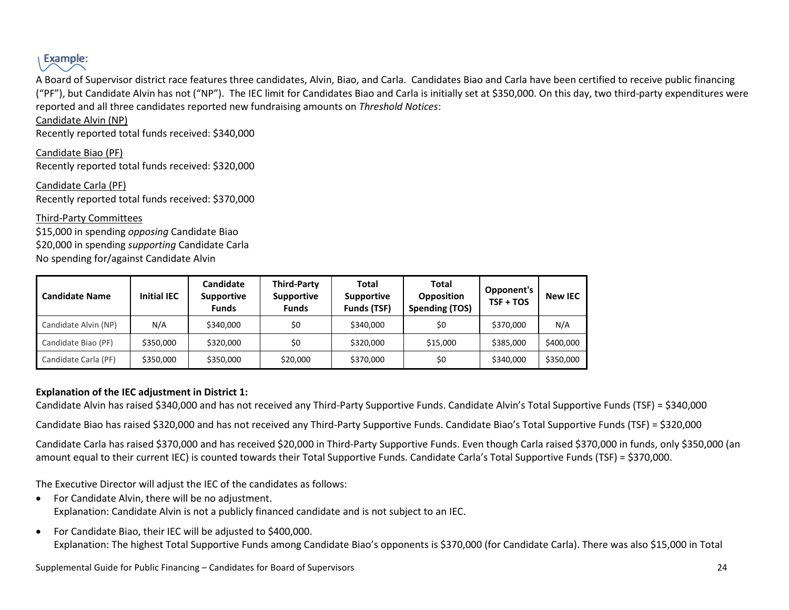

A Board of Supervisor district race features three candidates, Alvin, Biao, and Carla. Candidates Biao and Carla have been certified to receive public financing ("PF"), but Candidate Alvin has not ("NP"). The IEC limit for Candidates Biao and Carla is initially set at \$350,000. On this day, two third-party expenditures were reported and all three candidates reported new fundraising amounts on *Threshold Notices*:

#### Candidate Alvin (NP)

Recently reported total funds received: \$340,000

Candidate Biao (PF) Recently reported total funds received: \$320,000

Candidate Carla (PF) Recently reported total funds received: \$370,000

Third-Party Committees \$15,000 in spending *opposing* Candidate Biao \$20,000 in spending *supporting* Candidate Carla No spending for/against Candidate Alvin

| <b>Candidate Name</b> | <b>Initial IEC</b> | Candidate<br>Supportive<br><b>Funds</b> | <b>Third-Party</b><br>Supportive<br><b>Funds</b> | <b>Total</b><br><b>Supportive</b><br>Funds (TSF) | Total<br><b>Opposition</b><br><b>Spending (TOS)</b> | Opponent's<br>$TSF + TOS$ | <b>New IEC</b> |
|-----------------------|--------------------|-----------------------------------------|--------------------------------------------------|--------------------------------------------------|-----------------------------------------------------|---------------------------|----------------|
| Candidate Alvin (NP)  | N/A                | \$340,000                               | \$0                                              | \$340,000                                        | \$0                                                 | \$370,000                 | N/A            |
| Candidate Biao (PF)   | \$350,000          | \$320,000                               | \$0                                              | \$320,000                                        | \$15,000                                            | \$385,000                 | \$400,000      |
| Candidate Carla (PF)  | \$350,000          | \$350,000                               | \$20,000                                         | \$370,000                                        | \$0                                                 | \$340,000                 | \$350,000      |

#### **Explanation of the IEC adjustment in District 1:**

Candidate Alvin has raised \$340,000 and has not received any Third-Party Supportive Funds. Candidate Alvin's Total Supportive Funds (TSF) = \$340,000

Candidate Biao has raised \$320,000 and has not received any Third-Party Supportive Funds. Candidate Biao's Total Supportive Funds (TSF) = \$320,000

Candidate Carla has raised \$370,000 and has received \$20,000 in Third-Party Supportive Funds. Even though Carla raised \$370,000 in funds, only \$350,000 (an amount equal to their current IEC) is counted towards their Total Supportive Funds. Candidate Carla's Total Supportive Funds (TSF) = \$370,000.

The Executive Director will adjust the IEC of the candidates as follows:

- For Candidate Alvin, there will be no adjustment. Explanation: Candidate Alvin is not a publicly financed candidate and is not subject to an IEC.
- For Candidate Biao, their IEC will be adjusted to \$400,000. Explanation: The highest Total Supportive Funds among Candidate Biao's opponents is \$370,000 (for Candidate Carla). There was also \$15,000 in Total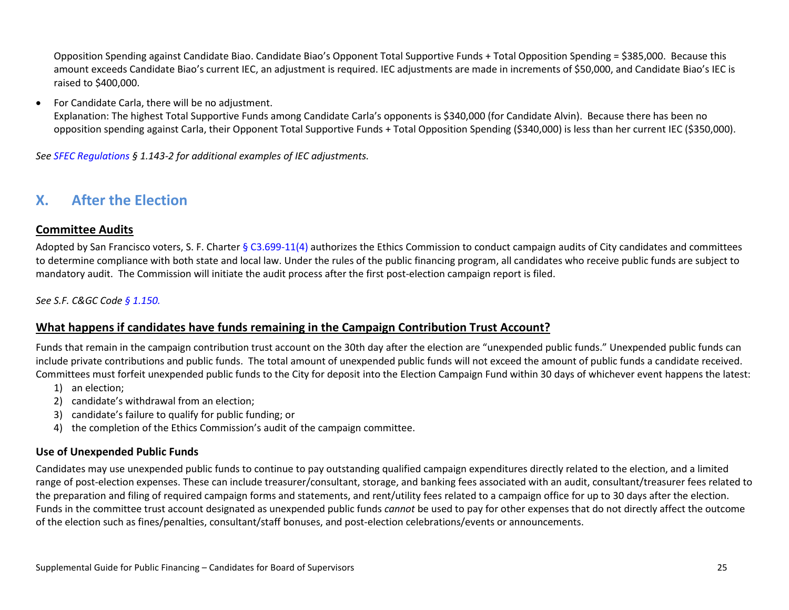Opposition Spending against Candidate Biao. Candidate Biao's Opponent Total Supportive Funds + Total Opposition Spending = \$385,000. Because this amount exceeds Candidate Biao's current IEC, an adjustment is required. IEC adjustments are made in increments of \$50,000, and Candidate Biao's IEC is raised to \$400,000.

#### • For Candidate Carla, there will be no adjustment.

Explanation: The highest Total Supportive Funds among Candidate Carla's opponents is \$340,000 (for Candidate Alvin). Because there has been no opposition spending against Carla, their Opponent Total Supportive Funds + Total Opposition Spending (\$340,000) is less than her current IEC (\$350,000).

*See [SFEC Regulations](https://sfethics.org/ethics/2011/06/-regulations-to-campaign-finance-reform-ordinance-san-francisco-campaign-and-governmental-conduct-co.html) § 1.143-2 for additional examples of IEC adjustments.*

## <span id="page-24-0"></span>**X. After the Election**

#### <span id="page-24-1"></span>**Committee Audits**

Adopted by San Francisco voters, S. F. [Charter § C3.699-11\(4\)](http://library.amlegal.com/nxt/gateway.dll/California/charter_sf/appendixcethicsprovisions*?f=templates$fn=default.htm$3.0$vid=amlegal:sanfrancisco_ca$anc=JD_C3.699-11) authorizes the Ethics Commission to conduct campaign audits of City candidates and committees to determine compliance with both state and local law. Under the rules of the public financing program, all candidates who receive public funds are subject to mandatory audit. The Commission will initiate the audit process after the first post-election campaign report is filed.

#### <span id="page-24-2"></span>*See [S.F. C&GC](http://library.amlegal.com/nxt/gateway.dll/California/campaign/articleielectioncampaigns?f=templates$fn=default.htm$3.0$vid=amlegal:sanfrancisco_ca$anc=JD_Art.ICh.1) Code § [1.150.](http://library.amlegal.com/nxt/gateway.dll/California/campaign/articleielectioncampaigns?f=templates$fn=default.htm$3.0$vid=amlegal:sanfrancisco_ca$anc=JD_1.150)*

#### **What happens if candidates have funds remaining in the Campaign Contribution Trust Account?**

Funds that remain in the campaign contribution trust account on the 30th day after the election are "unexpended public funds." Unexpended public funds can include private contributions and public funds. The total amount of unexpended public funds will not exceed the amount of public funds a candidate received. Committees must forfeit unexpended public funds to the City for deposit into the Election Campaign Fund within 30 days of whichever event happens the latest:

- 1) an election;
- 2) candidate's withdrawal from an election;
- 3) candidate's failure to qualify for public funding; or
- 4) the completion of the Ethics Commission's audit of the campaign committee.

#### <span id="page-24-3"></span>**Use of Unexpended Public Funds**

Candidates may use unexpended public funds to continue to pay outstanding qualified campaign expenditures directly related to the election, and a limited range of post-election expenses. These can include treasurer/consultant, storage, and banking fees associated with an audit, consultant/treasurer fees related to the preparation and filing of required campaign forms and statements, and rent/utility fees related to a campaign office for up to 30 days after the election. Funds in the committee trust account designated as unexpended public funds *cannot* be used to pay for other expenses that do not directly affect the outcome of the election such as fines/penalties, consultant/staff bonuses, and post-election celebrations/events or announcements.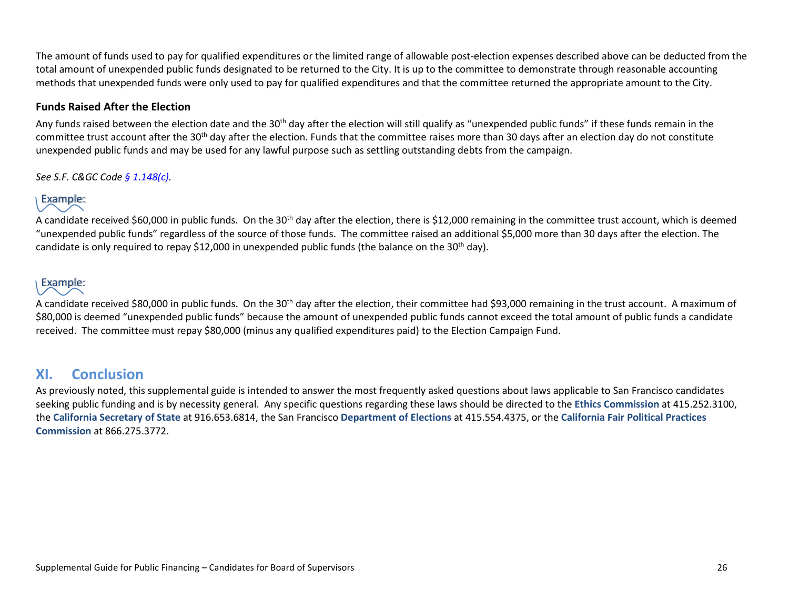The amount of funds used to pay for qualified expenditures or the limited range of allowable post-election expenses described above can be deducted from the total amount of unexpended public funds designated to be returned to the City. It is up to the committee to demonstrate through reasonable accounting methods that unexpended funds were only used to pay for qualified expenditures and that the committee returned the appropriate amount to the City.

#### <span id="page-25-0"></span>**Funds Raised After the Election**

Any funds raised between the election date and the 30<sup>th</sup> day after the election will still qualify as "unexpended public funds" if these funds remain in the committee trust account after the 30<sup>th</sup> day after the election. Funds that the committee raises more than 30 days after an election day do not constitute unexpended public funds and may be used for any lawful purpose such as settling outstanding debts from the campaign.

*See [S.F. C&GC](http://library.amlegal.com/nxt/gateway.dll/California/campaign/articleielectioncampaigns?f=templates$fn=default.htm$3.0$vid=amlegal:sanfrancisco_ca$anc=JD_Art.ICh.1) Code [§ 1.148\(c\).](http://library.amlegal.com/nxt/gateway.dll/California/campaign/articleielectioncampaigns?f=templates$fn=default.htm$3.0$vid=amlegal:sanfrancisco_ca$anc=JD_1.148)*

## Example:

A candidate received \$60,000 in public funds. On the 30<sup>th</sup> day after the election, there is \$12,000 remaining in the committee trust account, which is deemed "unexpended public funds" regardless of the source of those funds. The committee raised an additional \$5,000 more than 30 days after the election. The candidate is only required to repay \$12,000 in unexpended public funds (the balance on the 30<sup>th</sup> day).

## Example:

A candidate received \$80,000 in public funds. On the 30<sup>th</sup> day after the election, their committee had \$93,000 remaining in the trust account. A maximum of \$80,000 is deemed "unexpended public funds" because the amount of unexpended public funds cannot exceed the total amount of public funds a candidate received. The committee must repay \$80,000 (minus any qualified expenditures paid) to the Election Campaign Fund.

## <span id="page-25-1"></span>**XI. Conclusion**

As previously noted, this supplemental guide is intended to answer the most frequently asked questions about laws applicable to San Francisco candidates seeking public funding and is by necessity general. Any specific questions regarding these laws should be directed to the **[Ethics Commission](https://sfethics.org/)** at 415.252.3100, the **[California Secretary of State](http://www.sos.ca.gov/)** at 916.653.6814, the San Francisco **[Department of Elections](http://sfgov.org/elections/)** at 415.554.4375, or the **[California Fair Political Practices](http://www.fppc.ca.gov/)  [Commission](http://www.fppc.ca.gov/)** at 866.275.3772.